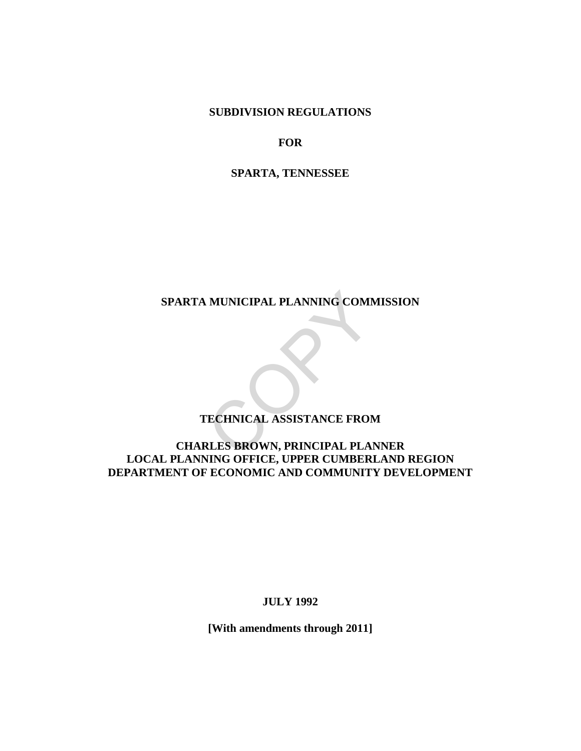**SUBDIVISION REGULATIONS** 

**FOR**

**SPARTA, TENNESSEE** 

**SPARTA MUNICIPAL PLANNING COMMISSION** 

# **TECHNICAL ASSISTANCE FROM**

# **CHARLES BROWN, PRINCIPAL PLANNER LOCAL PLANNING OFFICE, UPPER CUMBERLAND REGION DEPARTMENT OF ECONOMIC AND COMMUNITY DEVELOPMENT**  MUNICIPAL PLANNING COMM<br>
TECHNICAL ASSISTANCE FROM<br>
RLES BROWN, PRINCIPAL PLAN

**JULY 1992**

**[With amendments through 2011]**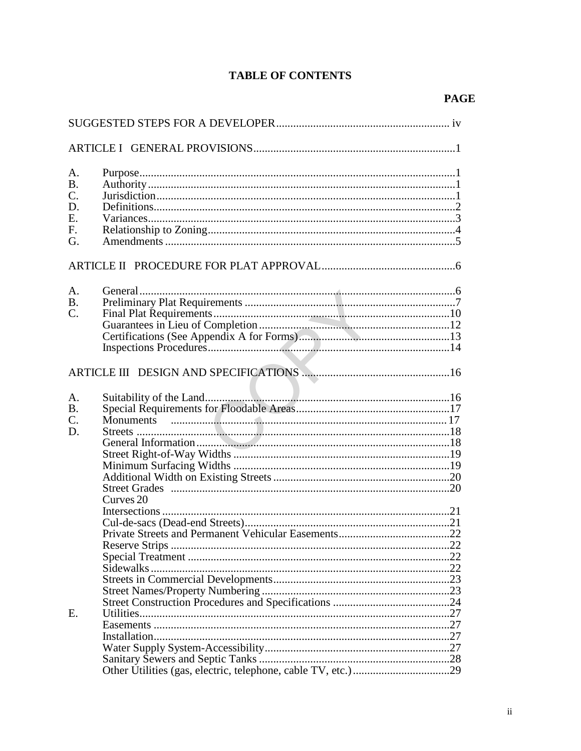# **TABLE OF CONTENTS**

| A.        |                      |  |  |  |  |
|-----------|----------------------|--|--|--|--|
| <b>B.</b> |                      |  |  |  |  |
| C.        |                      |  |  |  |  |
| D.        |                      |  |  |  |  |
| E.        |                      |  |  |  |  |
|           |                      |  |  |  |  |
| F.        |                      |  |  |  |  |
| G.        |                      |  |  |  |  |
|           |                      |  |  |  |  |
| A.        |                      |  |  |  |  |
| <b>B.</b> |                      |  |  |  |  |
| C.        |                      |  |  |  |  |
|           |                      |  |  |  |  |
|           |                      |  |  |  |  |
|           |                      |  |  |  |  |
|           |                      |  |  |  |  |
|           |                      |  |  |  |  |
|           |                      |  |  |  |  |
| A.        |                      |  |  |  |  |
| <b>B.</b> |                      |  |  |  |  |
| C.        |                      |  |  |  |  |
| D.        |                      |  |  |  |  |
|           |                      |  |  |  |  |
|           |                      |  |  |  |  |
|           |                      |  |  |  |  |
|           |                      |  |  |  |  |
|           |                      |  |  |  |  |
|           | Curves <sub>20</sub> |  |  |  |  |
|           |                      |  |  |  |  |
|           |                      |  |  |  |  |
|           |                      |  |  |  |  |
|           |                      |  |  |  |  |
|           |                      |  |  |  |  |
|           |                      |  |  |  |  |
|           | Sidewalks            |  |  |  |  |
|           |                      |  |  |  |  |
|           |                      |  |  |  |  |
|           |                      |  |  |  |  |
| Ε.        |                      |  |  |  |  |
|           |                      |  |  |  |  |
|           |                      |  |  |  |  |
|           |                      |  |  |  |  |
|           |                      |  |  |  |  |
|           |                      |  |  |  |  |
|           |                      |  |  |  |  |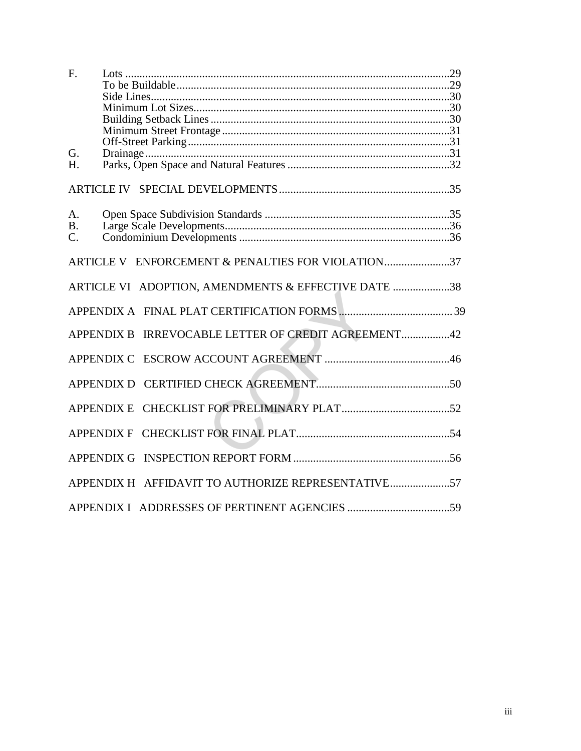| F.                                                     |  |
|--------------------------------------------------------|--|
| G.<br>$H_{\cdot}$                                      |  |
|                                                        |  |
|                                                        |  |
| A.<br><b>B.</b><br>$\mathcal{C}$ .                     |  |
| ARTICLE V ENFORCEMENT & PENALTIES FOR VIOLATION37      |  |
| ARTICLE VI ADOPTION, AMENDMENTS & EFFECTIVE DATE 38    |  |
|                                                        |  |
| IRREVOCABLE LETTER OF CREDIT AGREEMENT42<br>APPENDIX B |  |
|                                                        |  |
|                                                        |  |
| <b>APPENDIX E</b>                                      |  |
|                                                        |  |
| <b>APPENDIX G</b>                                      |  |
| APPENDIX H AFFIDAVIT TO AUTHORIZE REPRESENTATIVE57     |  |
|                                                        |  |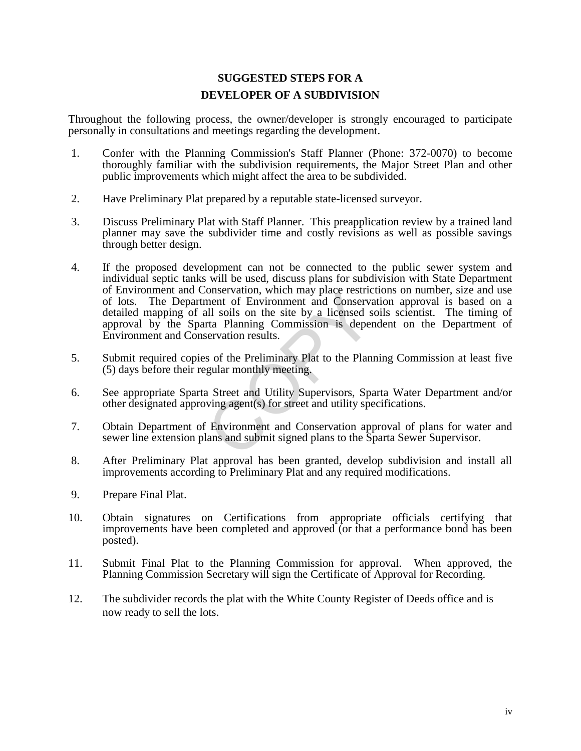# **SUGGESTED STEPS FOR A DEVELOPER OF A SUBDIVISION**

Throughout the following process, the owner/developer is strongly encouraged to participate personally in consultations and meetings regarding the development.

- 1. Confer with the Planning Commission's Staff Planner (Phone: 372-0070) to become thoroughly familiar with the subdivision requirements, the Major Street Plan and other public improvements which might affect the area to be subdivided.
- 2. Have Preliminary Plat prepared by a reputable state-licensed surveyor.
- 3. Discuss Preliminary Plat with Staff Planner. This preapplication review by a trained land planner may save the subdivider time and costly revisions as well as possible savings through better design.
- 4. If the proposed development can not be connected to the public sewer system and individual septic tanks will be used, discuss plans for subdivision with State Department of Environment and Conservation, which may place restrictions on number, size and use of lots. The Department of Environment and Conservation approval is based on a detailed mapping of all soils on the site by a licensed soils scientist. The timing of approval by the Sparta Planning Commission is dependent on the Department of Environment and Conservation results. onservation, which may place restrict<br>ment of Environment and Conserva<br>all soils on the site by a licensed s<br>rta Planning Commission is deper<br>servation results.<br>s of the Preliminary Plat to the Plann<br>gular monthly meeting.
- 5. Submit required copies of the Preliminary Plat to the Planning Commission at least five (5) days before their regular monthly meeting.
- 6. See appropriate Sparta Street and Utility Supervisors, Sparta Water Department and/or other designated approving agent(s) for street and utility specifications.
- 7. Obtain Department of Environment and Conservation approval of plans for water and sewer line extension plans and submit signed plans to the Sparta Sewer Supervisor.
- 8. After Preliminary Plat approval has been granted, develop subdivision and install all improvements according to Preliminary Plat and any required modifications.
- 9. Prepare Final Plat.
- 10. Obtain signatures on Certifications from appropriate officials certifying that improvements have been completed and approved (or that a performance bond has been posted).
- 11. Submit Final Plat to the Planning Commission for approval. When approved, the Planning Commission Secretary will sign the Certificate of Approval for Recording.
- 12. The subdivider records the plat with the White County Register of Deeds office and is now ready to sell the lots.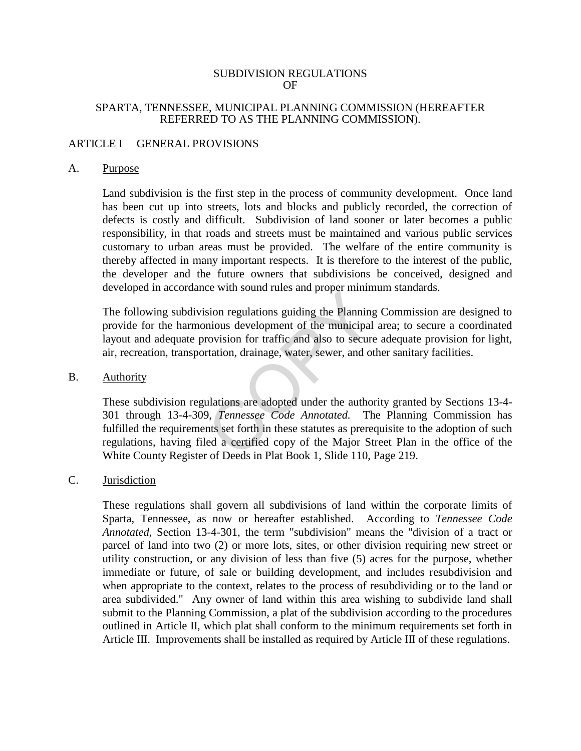#### SUBDIVISION REGULATIONS OF

## SPARTA, TENNESSEE, MUNICIPAL PLANNING COMMISSION (HEREAFTER REFERRED TO AS THE PLANNING COMMISSION).

## ARTICLE I GENERAL PROVISIONS

#### A. Purpose

Land subdivision is the first step in the process of community development. Once land has been cut up into streets, lots and blocks and publicly recorded, the correction of defects is costly and difficult. Subdivision of land sooner or later becomes a public responsibility, in that roads and streets must be maintained and various public services customary to urban areas must be provided. The welfare of the entire community is thereby affected in many important respects. It is therefore to the interest of the public, the developer and the future owners that subdivisions be conceived, designed and developed in accordance with sound rules and proper minimum standards.

The following subdivision regulations guiding the Planning Commission are designed to provide for the harmonious development of the municipal area; to secure a coordinated layout and adequate provision for traffic and also to secure adequate provision for light, air, recreation, transportation, drainage, water, sewer, and other sanitary facilities.

#### B. Authority

These subdivision regulations are adopted under the authority granted by Sections 13-4- 301 through 13-4-309, *Tennessee Code Annotated.* The Planning Commission has fulfilled the requirements set forth in these statutes as prerequisite to the adoption of such regulations, having filed a certified copy of the Major Street Plan in the office of the White County Register of Deeds in Plat Book 1, Slide 110, Page 219. Evaluations guiding the Planning<br>nious development of the municipal<br>rovision for traffic and also to secure<br>rtation, drainage, water, sewer, and ot<br>ulations are adopted under the author<br>9, *Tennessee Code Annotated*. Th<br>nt

## C. Jurisdiction

These regulations shall govern all subdivisions of land within the corporate limits of Sparta, Tennessee, as now or hereafter established. According to *Tennessee Code Annotated,* Section 13-4-301, the term "subdivision" means the "division of a tract or parcel of land into two (2) or more lots, sites, or other division requiring new street or utility construction, or any division of less than five (5) acres for the purpose, whether immediate or future, of sale or building development, and includes resubdivision and when appropriate to the context, relates to the process of resubdividing or to the land or area subdivided." Any owner of land within this area wishing to subdivide land shall submit to the Planning Commission, a plat of the subdivision according to the procedures outlined in Article II, which plat shall conform to the minimum requirements set forth in Article III. Improvements shall be installed as required by Article III of these regulations.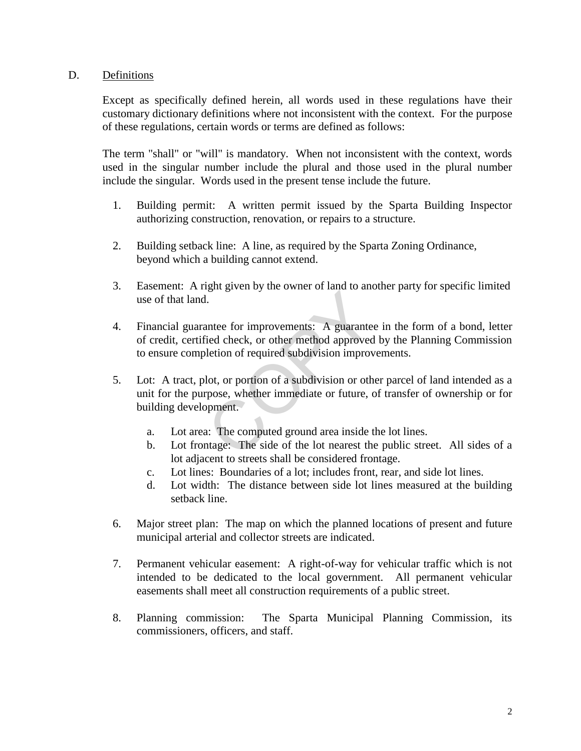## D. Definitions

Except as specifically defined herein, all words used in these regulations have their customary dictionary definitions where not inconsistent with the context. For the purpose of these regulations, certain words or terms are defined as follows:

The term "shall" or "will" is mandatory. When not inconsistent with the context, words used in the singular number include the plural and those used in the plural number include the singular. Words used in the present tense include the future.

- 1. Building permit: A written permit issued by the Sparta Building Inspector authorizing construction, renovation, or repairs to a structure.
- 2. Building setback line: A line, as required by the Sparta Zoning Ordinance, beyond which a building cannot extend.
- 3. Easement: A right given by the owner of land to another party for specific limited use of that land.
- 4. Financial guarantee for improvements: A guarantee in the form of a bond, letter of credit, certified check, or other method approved by the Planning Commission to ensure completion of required subdivision improvements. gan green ey are someted trance of and<br>i.e.<br>i.e.<br>i.e.d check, or other method approved<br>letion of required subdivision improved<br>letion of required subdivision or oth<br>pose, whether immediate or future, of<br>poment.<br>a: The comp
- 5. Lot: A tract, plot, or portion of a subdivision or other parcel of land intended as a unit for the purpose, whether immediate or future, of transfer of ownership or for building development.
	- a. Lot area: The computed ground area inside the lot lines.
	- b. Lot frontage: The side of the lot nearest the public street. All sides of a lot adjacent to streets shall be considered frontage.
	- c. Lot lines: Boundaries of a lot; includes front, rear, and side lot lines.
	- d. Lot width: The distance between side lot lines measured at the building setback line.
- 6. Major street plan: The map on which the planned locations of present and future municipal arterial and collector streets are indicated.
- 7. Permanent vehicular easement: A right-of-way for vehicular traffic which is not intended to be dedicated to the local government. All permanent vehicular easements shall meet all construction requirements of a public street.
- 8. Planning commission: The Sparta Municipal Planning Commission, its commissioners, officers, and staff.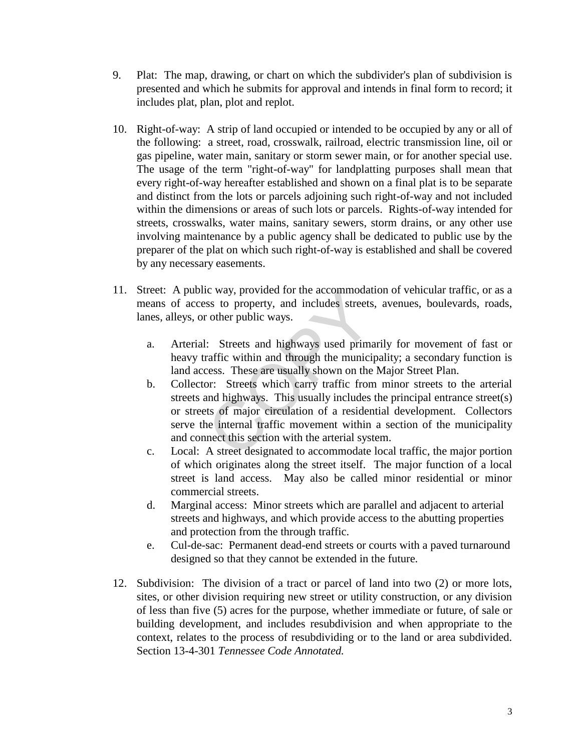- 9. Plat: The map, drawing, or chart on which the subdivider's plan of subdivision is presented and which he submits for approval and intends in final form to record; it includes plat, plan, plot and replot.
- 10. Right-of-way: A strip of land occupied or intended to be occupied by any or all of the following: a street, road, crosswalk, railroad, electric transmission line, oil or gas pipeline, water main, sanitary or storm sewer main, or for another special use. The usage of the term "right-of-way" for landplatting purposes shall mean that every right-of-way hereafter established and shown on a final plat is to be separate and distinct from the lots or parcels adjoining such right-of-way and not included within the dimensions or areas of such lots or parcels. Rights-of-way intended for streets, crosswalks, water mains, sanitary sewers, storm drains, or any other use involving maintenance by a public agency shall be dedicated to public use by the preparer of the plat on which such right-of-way is established and shall be covered by any necessary easements.
- 11. Street: A public way, provided for the accommodation of vehicular traffic, or as a means of access to property, and includes streets, avenues, boulevards, roads, lanes, alleys, or other public ways.
	- a. Arterial: Streets and highways used primarily for movement of fast or heavy traffic within and through the municipality; a secondary function is land access. These are usually shown on the Major Street Plan.
	- b. Collector: Streets which carry traffic from minor streets to the arterial streets and highways. This usually includes the principal entrance street(s) or streets of major circulation of a residential development. Collectors serve the internal traffic movement within a section of the municipality and connect this section with the arterial system. C way, provided for the accommodate<br>ss to property, and includes streets<br>cother public ways.<br><br>: Streets and highways used primaraffic within and through the municipless.<br>These are usually shown on the<br>or: Streets which car
	- c. Local: A street designated to accommodate local traffic, the major portion of which originates along the street itself. The major function of a local street is land access. May also be called minor residential or minor commercial streets.
	- d. Marginal access: Minor streets which are parallel and adjacent to arterial streets and highways, and which provide access to the abutting properties and protection from the through traffic.
	- e. Cul-de-sac: Permanent dead-end streets or courts with a paved turnaround designed so that they cannot be extended in the future.
- 12. Subdivision: The division of a tract or parcel of land into two (2) or more lots, sites, or other division requiring new street or utility construction, or any division of less than five (5) acres for the purpose, whether immediate or future, of sale or building development, and includes resubdivision and when appropriate to the context, relates to the process of resubdividing or to the land or area subdivided. Section 13-4-301 *Tennessee Code Annotated.*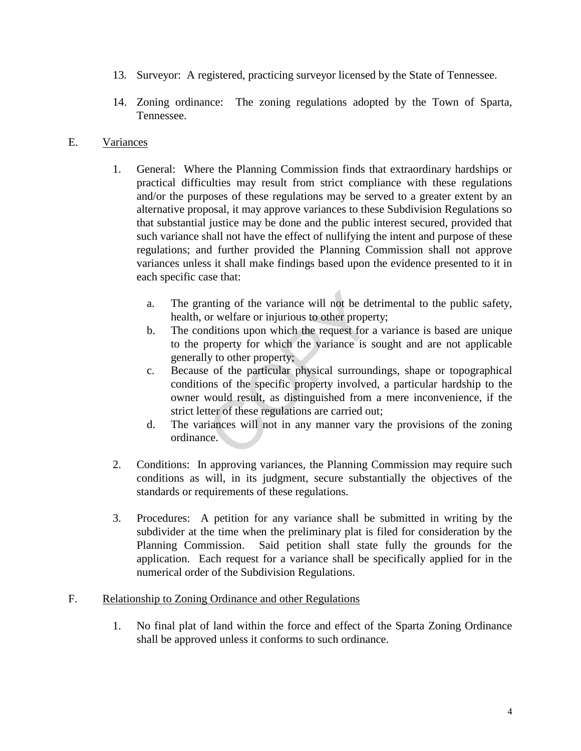- 13*.* Surveyor: A registered, practicing surveyor licensed by the State of Tennessee.
- 14. Zoning ordinance: The zoning regulations adopted by the Town of Sparta, Tennessee.

## E. Variances

- 1. General: Where the Planning Commission finds that extraordinary hardships or practical difficulties may result from strict compliance with these regulations and/or the purposes of these regulations may be served to a greater extent by an alternative proposal, it may approve variances to these Subdivision Regulations so that substantial justice may be done and the public interest secured, provided that such variance shall not have the effect of nullifying the intent and purpose of these regulations; and further provided the Planning Commission shall not approve variances unless it shall make findings based upon the evidence presented to it in each specific case that:
	- a. The granting of the variance will not be detrimental to the public safety, health, or welfare or injurious to other property;
	- b. The conditions upon which the request for a variance is based are unique to the property for which the variance is sought and are not applicable generally to other property;
	- c. Because of the particular physical surroundings, shape or topographical conditions of the specific property involved, a particular hardship to the owner would result, as distinguished from a mere inconvenience, if the strict letter of these regulations are carried out; noting of the variance will not be de<br>or welfare or injurious to other proper<br>aditions upon which the request for a<br>property for which the variance is s<br>ly to other property;<br>e of the particular physical surrouno<br>ons of th
	- d. The variances will not in any manner vary the provisions of the zoning ordinance.
- 2. Conditions: In approving variances, the Planning Commission may require such conditions as will, in its judgment, secure substantially the objectives of the standards or requirements of these regulations.
- 3. Procedures: A petition for any variance shall be submitted in writing by the subdivider at the time when the preliminary plat is filed for consideration by the Planning Commission. Said petition shall state fully the grounds for the application. Each request for a variance shall be specifically applied for in the numerical order of the Subdivision Regulations.

## F. Relationship to Zoning Ordinance and other Regulations

1. No final plat of land within the force and effect of the Sparta Zoning Ordinance shall be approved unless it conforms to such ordinance.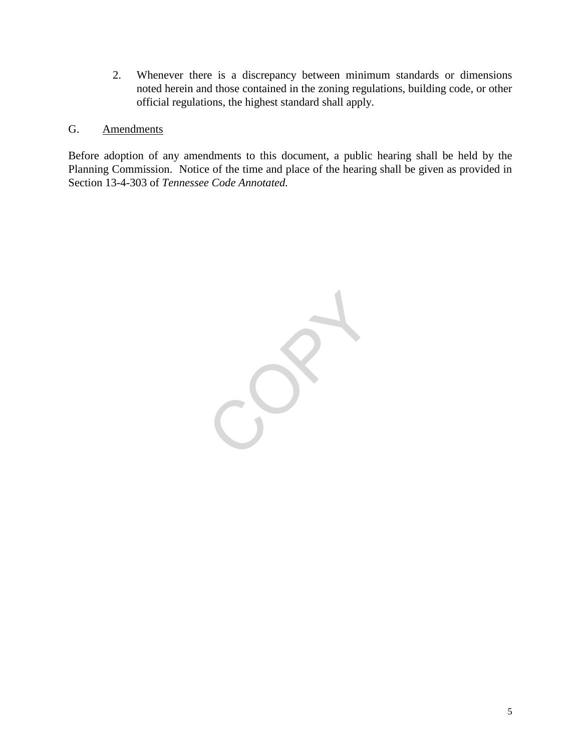2. Whenever there is a discrepancy between minimum standards or dimensions noted herein and those contained in the zoning regulations, building code, or other official regulations, the highest standard shall apply.

## G. Amendments

Before adoption of any amendments to this document, a public hearing shall be held by the Planning Commission. Notice of the time and place of the hearing shall be given as provided in Section 13-4-303 of *Tennessee Code Annotated.* 

CO.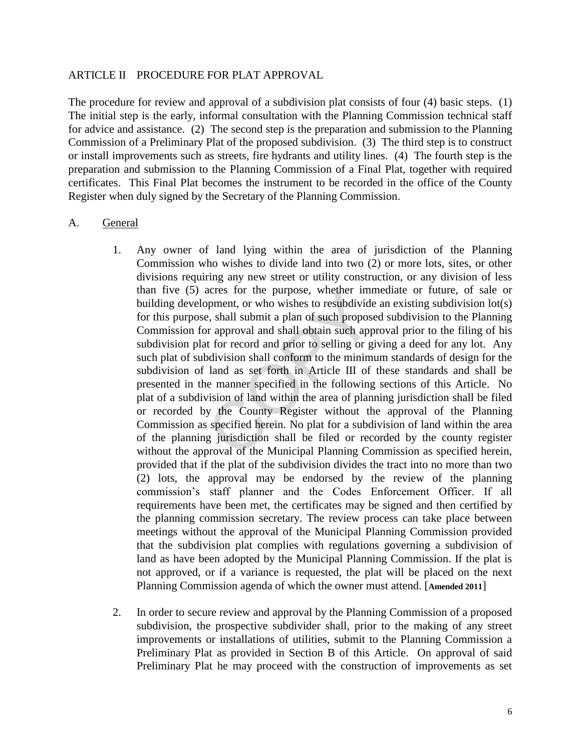#### ARTICLE II PROCEDURE FOR PLAT APPROVAL

The procedure for review and approval of a subdivision plat consists of four (4) basic steps. (1) The initial step is the early, informal consultation with the Planning Commission technical staff for advice and assistance. (2) The second step is the preparation and submission to the Planning Commission of a Preliminary Plat of the proposed subdivision. (3) The third step is to construct or install improvements such as streets, fire hydrants and utility lines. (4) The fourth step is the preparation and submission to the Planning Commission of a Final Plat, together with required certificates. This Final Plat becomes the instrument to be recorded in the office of the County Register when duly signed by the Secretary of the Planning Commission.

#### A. General

- 1. Any owner of land lying within the area of jurisdiction of the Planning Commission who wishes to divide land into two (2) or more lots, sites, or other divisions requiring any new street or utility construction, or any division of less than five (5) acres for the purpose, whether immediate or future, of sale or building development, or who wishes to resubdivide an existing subdivision lot(s) for this purpose, shall submit a plan of such proposed subdivision to the Planning Commission for approval and shall obtain such approval prior to the filing of his subdivision plat for record and prior to selling or giving a deed for any lot. Any such plat of subdivision shall conform to the minimum standards of design for the subdivision of land as set forth in Article III of these standards and shall be presented in the manner specified in the following sections of this Article. No plat of a subdivision of land within the area of planning jurisdiction shall be filed or recorded by the County Register without the approval of the Planning Commission as specified herein. No plat for a subdivision of land within the area of the planning jurisdiction shall be filed or recorded by the county register without the approval of the Municipal Planning Commission as specified herein, provided that if the plat of the subdivision divides the tract into no more than two (2) lots, the approval may be endorsed by the review of the planning commission's staff planner and the Codes Enforcement Officer. If all requirements have been met, the certificates may be signed and then certified by the planning commission secretary. The review process can take place between meetings without the approval of the Municipal Planning Commission provided that the subdivision plat complies with regulations governing a subdivision of land as have been adopted by the Municipal Planning Commission. If the plat is not approved, or if a variance is requested, the plat will be placed on the next Planning Commission agenda of which the owner must attend. [**Amended 2011**] acres for the purpose, whether lift<br>pyment, or who wishes to resubdivide<br>e, shall submit a plan of such propose<br>or approval and shall obtain such app<br>to for record and prior to selling or g<br>polivision shall conform to the
- 2. In order to secure review and approval by the Planning Commission of a proposed subdivision, the prospective subdivider shall, prior to the making of any street improvements or installations of utilities, submit to the Planning Commission a Preliminary Plat as provided in Section B of this Article. On approval of said Preliminary Plat he may proceed with the construction of improvements as set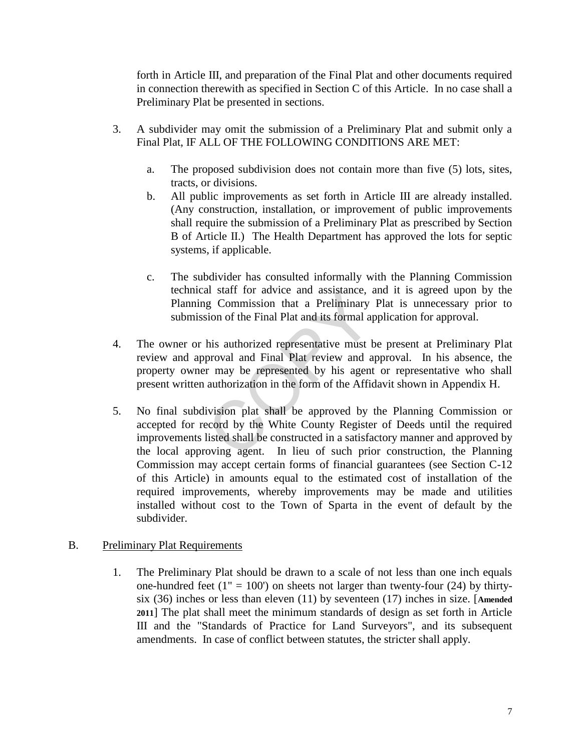forth in Article III, and preparation of the Final Plat and other documents required in connection therewith as specified in Section C of this Article. In no case shall a Preliminary Plat be presented in sections.

- 3. A subdivider may omit the submission of a Preliminary Plat and submit only a Final Plat, IF ALL OF THE FOLLOWING CONDITIONS ARE MET:
	- a. The proposed subdivision does not contain more than five (5) lots, sites, tracts, or divisions.
	- b. All public improvements as set forth in Article III are already installed. (Any construction, installation, or improvement of public improvements shall require the submission of a Preliminary Plat as prescribed by Section B of Article II.) The Health Department has approved the lots for septic systems, if applicable.
	- c. The subdivider has consulted informally with the Planning Commission technical staff for advice and assistance, and it is agreed upon by the Planning Commission that a Preliminary Plat is unnecessary prior to submission of the Final Plat and its formal application for approval.
- 4. The owner or his authorized representative must be present at Preliminary Plat review and approval and Final Plat review and approval. In his absence, the property owner may be represented by his agent or representative who shall present written authorization in the form of the Affidavit shown in Appendix H.
- 5. No final subdivision plat shall be approved by the Planning Commission or accepted for record by the White County Register of Deeds until the required improvements listed shall be constructed in a satisfactory manner and approved by the local approving agent. In lieu of such prior construction, the Planning Commission may accept certain forms of financial guarantees (see Section C-12 of this Article) in amounts equal to the estimated cost of installation of the required improvements, whereby improvements may be made and utilities installed without cost to the Town of Sparta in the event of default by the subdivider. all start for advice and assistance, a<br>g Commission that a Preliminary<br>sion of the Final Plat and its formal ap<br>his authorized representative must b<br>proval and Final Plat review and a<br>r may be represented by his agent<br>auth

## B. Preliminary Plat Requirements

1. The Preliminary Plat should be drawn to a scale of not less than one inch equals one-hundred feet  $(1'' = 100')$  on sheets not larger than twenty-four  $(24)$  by thirtysix (36) inches or less than eleven (11) by seventeen (17) inches in size. [**Amended 2011**] The plat shall meet the minimum standards of design as set forth in Article III and the "Standards of Practice for Land Surveyors", and its subsequent amendments. In case of conflict between statutes, the stricter shall apply.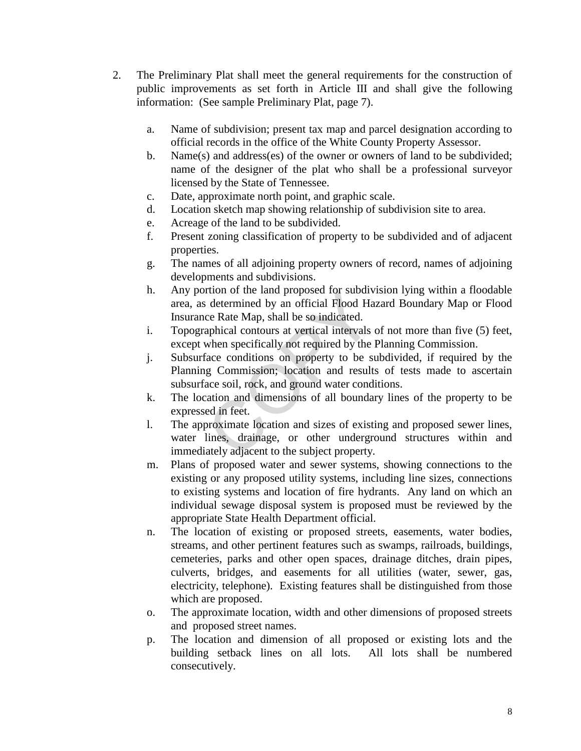- 2. The Preliminary Plat shall meet the general requirements for the construction of public improvements as set forth in Article III and shall give the following information: (See sample Preliminary Plat, page 7).
	- a. Name of subdivision; present tax map and parcel designation according to official records in the office of the White County Property Assessor.
	- b. Name(s) and address(es) of the owner or owners of land to be subdivided; name of the designer of the plat who shall be a professional surveyor licensed by the State of Tennessee.
	- c. Date, approximate north point, and graphic scale.
	- d. Location sketch map showing relationship of subdivision site to area.
	- e. Acreage of the land to be subdivided.
	- f. Present zoning classification of property to be subdivided and of adjacent properties.
	- g. The names of all adjoining property owners of record, names of adjoining developments and subdivisions.
	- h. Any portion of the land proposed for subdivision lying within a floodable area, as determined by an official Flood Hazard Boundary Map or Flood Insurance Rate Map, shall be so indicated.
	- i. Topographical contours at vertical intervals of not more than five (5) feet, except when specifically not required by the Planning Commission.
	- j. Subsurface conditions on property to be subdivided, if required by the Planning Commission; location and results of tests made to ascertain subsurface soil, rock, and ground water conditions.
	- k. The location and dimensions of all boundary lines of the property to be expressed in feet.
	- l. The approximate location and sizes of existing and proposed sewer lines, water lines, drainage, or other underground structures within and immediately adjacent to the subject property. ruon of the land proposed for subdivelent<br>determined by an official Flood Ha<br>ce Rate Map, shall be so indicated.<br>aphical contours at vertical intervals<br>when specifically not required by the<br>face conditions on property to b
	- m. Plans of proposed water and sewer systems, showing connections to the existing or any proposed utility systems, including line sizes, connections to existing systems and location of fire hydrants. Any land on which an individual sewage disposal system is proposed must be reviewed by the appropriate State Health Department official.
	- n. The location of existing or proposed streets, easements, water bodies, streams, and other pertinent features such as swamps, railroads, buildings, cemeteries, parks and other open spaces, drainage ditches, drain pipes, culverts, bridges, and easements for all utilities (water, sewer, gas, electricity, telephone). Existing features shall be distinguished from those which are proposed.
	- o. The approximate location, width and other dimensions of proposed streets and proposed street names.
	- p. The location and dimension of all proposed or existing lots and the building setback lines on all lots. All lots shall be numbered consecutively.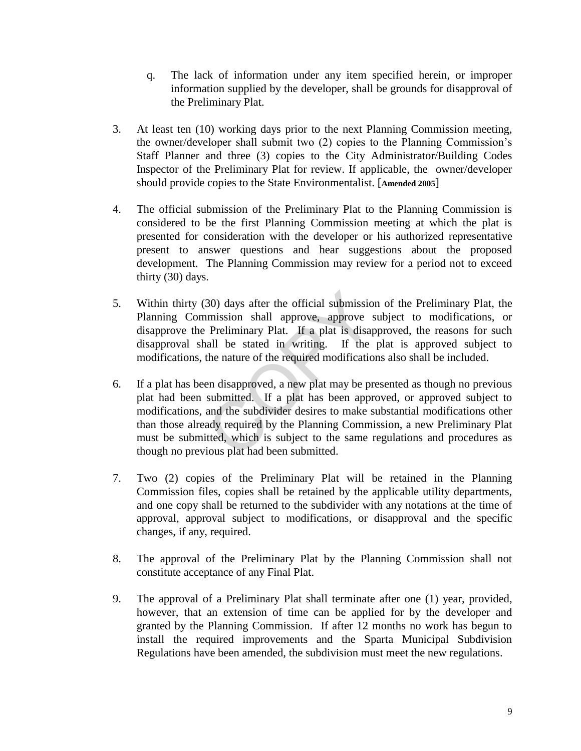- q. The lack of information under any item specified herein, or improper information supplied by the developer, shall be grounds for disapproval of the Preliminary Plat.
- 3. At least ten (10) working days prior to the next Planning Commission meeting, the owner/developer shall submit two (2) copies to the Planning Commission's Staff Planner and three (3) copies to the City Administrator/Building Codes Inspector of the Preliminary Plat for review. If applicable, the owner/developer should provide copies to the State Environmentalist. [**Amended 2005**]
- 4. The official submission of the Preliminary Plat to the Planning Commission is considered to be the first Planning Commission meeting at which the plat is presented for consideration with the developer or his authorized representative present to answer questions and hear suggestions about the proposed development. The Planning Commission may review for a period not to exceed thirty (30) days.
- 5. Within thirty (30) days after the official submission of the Preliminary Plat, the Planning Commission shall approve, approve subject to modifications, or disapprove the Preliminary Plat. If a plat is disapproved, the reasons for such disapproval shall be stated in writing. If the plat is approved subject to modifications, the nature of the required modifications also shall be included.
- 6. If a plat has been disapproved, a new plat may be presented as though no previous plat had been submitted. If a plat has been approved, or approved subject to modifications, and the subdivider desires to make substantial modifications other than those already required by the Planning Commission, a new Preliminary Plat must be submitted, which is subject to the same regulations and procedures as though no previous plat had been submitted. 30) days after the official submission<br>mission shall approve, approve s<br>Preliminary Plat. If a plat is disap<br>all be stated in writing. If the<br>the nature of the required modificatio<br>en disapproved, a new plat may be pr<br>subm
- 7. Two (2) copies of the Preliminary Plat will be retained in the Planning Commission files, copies shall be retained by the applicable utility departments, and one copy shall be returned to the subdivider with any notations at the time of approval, approval subject to modifications, or disapproval and the specific changes, if any, required.
- 8. The approval of the Preliminary Plat by the Planning Commission shall not constitute acceptance of any Final Plat.
- 9. The approval of a Preliminary Plat shall terminate after one (1) year, provided, however, that an extension of time can be applied for by the developer and granted by the Planning Commission. If after 12 months no work has begun to install the required improvements and the Sparta Municipal Subdivision Regulations have been amended, the subdivision must meet the new regulations.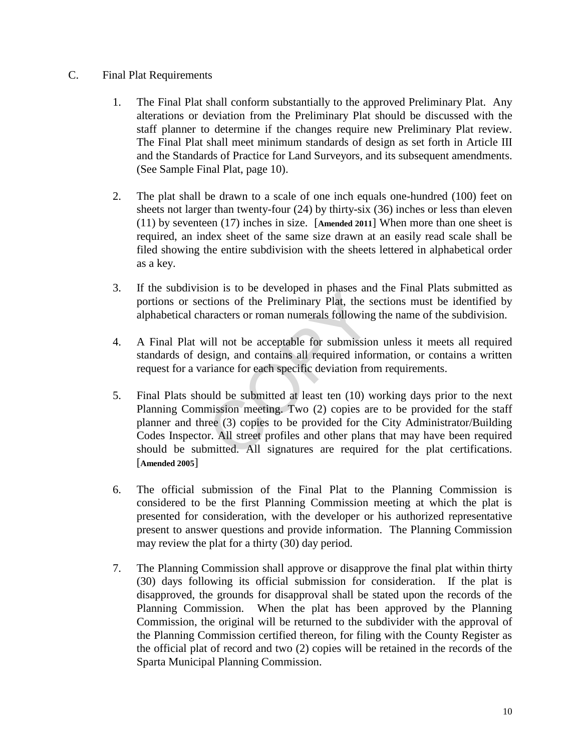## C. Final Plat Requirements

- 1. The Final Plat shall conform substantially to the approved Preliminary Plat. Any alterations or deviation from the Preliminary Plat should be discussed with the staff planner to determine if the changes require new Preliminary Plat review. The Final Plat shall meet minimum standards of design as set forth in Article III and the Standards of Practice for Land Surveyors, and its subsequent amendments. (See Sample Final Plat, page 10).
- 2. The plat shall be drawn to a scale of one inch equals one-hundred (100) feet on sheets not larger than twenty-four (24) by thirty-six (36) inches or less than eleven (11) by seventeen (17) inches in size. [**Amended 2011**] When more than one sheet is required, an index sheet of the same size drawn at an easily read scale shall be filed showing the entire subdivision with the sheets lettered in alphabetical order as a key.
- 3. If the subdivision is to be developed in phases and the Final Plats submitted as portions or sections of the Preliminary Plat, the sections must be identified by alphabetical characters or roman numerals following the name of the subdivision.
- 4. A Final Plat will not be acceptable for submission unless it meets all required standards of design, and contains all required information, or contains a written request for a variance for each specific deviation from requirements.
- 5. Final Plats should be submitted at least ten (10) working days prior to the next Planning Commission meeting. Two (2) copies are to be provided for the staff planner and three (3) copies to be provided for the City Administrator/Building Codes Inspector. All street profiles and other plans that may have been required should be submitted. All signatures are required for the plat certifications. [**Amended 2005**] France is to be developed in phases and<br>trions of the Preliminary Plat, the saracters or roman numerals following<br>vill not be acceptable for submission<br>esign, and contains all required infor-<br>priance for each specific devi
- 6. The official submission of the Final Plat to the Planning Commission is considered to be the first Planning Commission meeting at which the plat is presented for consideration, with the developer or his authorized representative present to answer questions and provide information. The Planning Commission may review the plat for a thirty (30) day period.
- 7. The Planning Commission shall approve or disapprove the final plat within thirty (30) days following its official submission for consideration. If the plat is disapproved, the grounds for disapproval shall be stated upon the records of the Planning Commission. When the plat has been approved by the Planning Commission, the original will be returned to the subdivider with the approval of the Planning Commission certified thereon, for filing with the County Register as the official plat of record and two (2) copies will be retained in the records of the Sparta Municipal Planning Commission.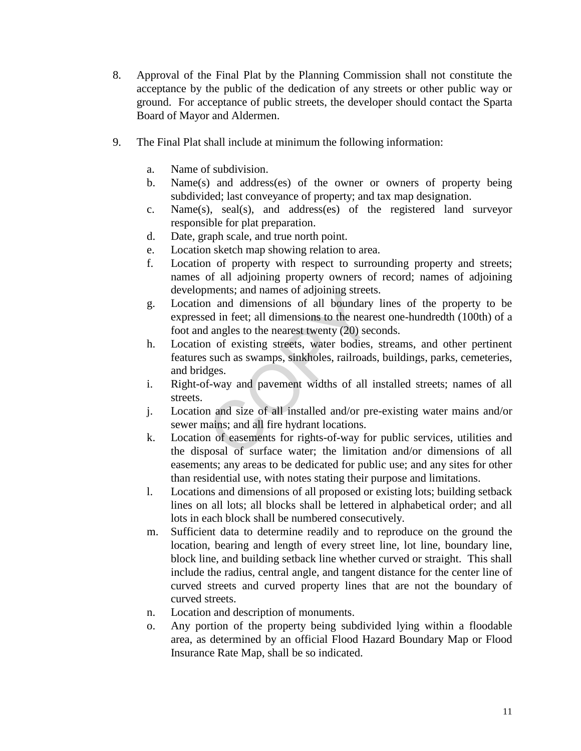- 8. Approval of the Final Plat by the Planning Commission shall not constitute the acceptance by the public of the dedication of any streets or other public way or ground. For acceptance of public streets, the developer should contact the Sparta Board of Mayor and Aldermen.
- 9. The Final Plat shall include at minimum the following information:
	- a. Name of subdivision.
	- b. Name(s) and address(es) of the owner or owners of property being subdivided; last conveyance of property; and tax map designation.
	- c. Name(s), seal(s), and address(es) of the registered land surveyor responsible for plat preparation.
	- d. Date, graph scale, and true north point.
	- e. Location sketch map showing relation to area.
	- f. Location of property with respect to surrounding property and streets; names of all adjoining property owners of record; names of adjoining developments; and names of adjoining streets.
	- g. Location and dimensions of all boundary lines of the property to be expressed in feet; all dimensions to the nearest one-hundredth (100th) of a foot and angles to the nearest twenty (20) seconds. ments; and names of adjoining street.<br>
	In and dimensions of all boundary<br>
	ed in feet; all dimensions to the neard<br>
	angles to the nearest twenty (20) sec<br>
	In of existing streets, water bodies,<br>
	such as swamps, sinkholes, ra
	- h. Location of existing streets, water bodies, streams, and other pertinent features such as swamps, sinkholes, railroads, buildings, parks, cemeteries, and bridges.
	- i. Right-of-way and pavement widths of all installed streets; names of all streets.
	- j. Location and size of all installed and/or pre-existing water mains and/or sewer mains; and all fire hydrant locations.
	- k. Location of easements for rights-of-way for public services, utilities and the disposal of surface water; the limitation and/or dimensions of all easements; any areas to be dedicated for public use; and any sites for other than residential use, with notes stating their purpose and limitations.
	- l. Locations and dimensions of all proposed or existing lots; building setback lines on all lots; all blocks shall be lettered in alphabetical order; and all lots in each block shall be numbered consecutively.
	- m. Sufficient data to determine readily and to reproduce on the ground the location, bearing and length of every street line, lot line, boundary line, block line, and building setback line whether curved or straight. This shall include the radius, central angle, and tangent distance for the center line of curved streets and curved property lines that are not the boundary of curved streets.
	- n. Location and description of monuments.
	- o. Any portion of the property being subdivided lying within a floodable area, as determined by an official Flood Hazard Boundary Map or Flood Insurance Rate Map, shall be so indicated.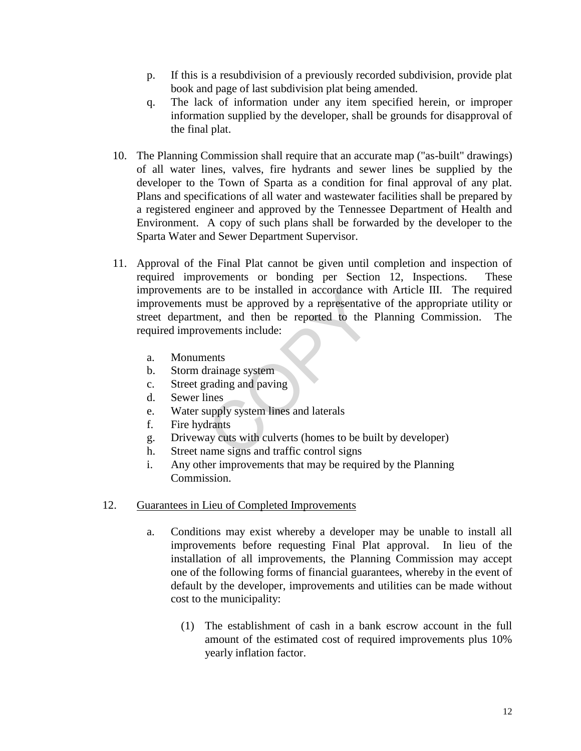- p. If this is a resubdivision of a previously recorded subdivision, provide plat book and page of last subdivision plat being amended.
- q. The lack of information under any item specified herein, or improper information supplied by the developer, shall be grounds for disapproval of the final plat.
- 10. The Planning Commission shall require that an accurate map ("as-built" drawings) of all water lines, valves, fire hydrants and sewer lines be supplied by the developer to the Town of Sparta as a condition for final approval of any plat. Plans and specifications of all water and wastewater facilities shall be prepared by a registered engineer and approved by the Tennessee Department of Health and Environment. A copy of such plans shall be forwarded by the developer to the Sparta Water and Sewer Department Supervisor.
- 11. Approval of the Final Plat cannot be given until completion and inspection of required improvements or bonding per Section 12, Inspections. These improvements are to be installed in accordance with Article III. The required improvements must be approved by a representative of the appropriate utility or street department, and then be reported to the Planning Commission. The required improvements include: are to be instanted in accordance w<br>must be approved by a representativent, and then be reported to the vements include:<br>the vements include:<br>the vements lines<br>are set and paving<br>ines<br>upply system lines and laterals<br>drants
	- a. Monuments
	- b. Storm drainage system
	- c. Street grading and paving
	- d. Sewer lines
	- e. Water supply system lines and laterals
	- f. Fire hydrants
	- g. Driveway cuts with culverts (homes to be built by developer)
	- h. Street name signs and traffic control signs
	- i. Any other improvements that may be required by the Planning Commission.

## 12. Guarantees in Lieu of Completed Improvements

- a. Conditions may exist whereby a developer may be unable to install all improvements before requesting Final Plat approval. In lieu of the installation of all improvements, the Planning Commission may accept one of the following forms of financial guarantees, whereby in the event of default by the developer, improvements and utilities can be made without cost to the municipality:
	- (1) The establishment of cash in a bank escrow account in the full amount of the estimated cost of required improvements plus 10% yearly inflation factor.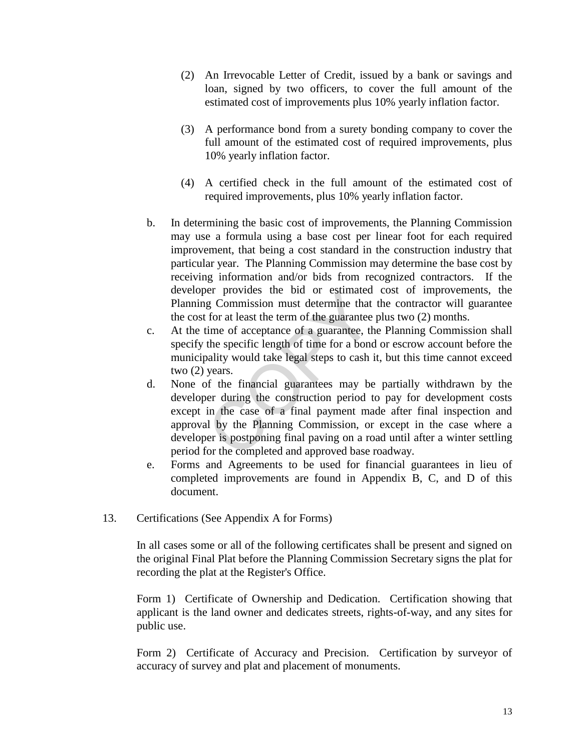- (2) An Irrevocable Letter of Credit, issued by a bank or savings and loan, signed by two officers, to cover the full amount of the estimated cost of improvements plus 10% yearly inflation factor.
- (3) A performance bond from a surety bonding company to cover the full amount of the estimated cost of required improvements, plus 10% yearly inflation factor.
- (4) A certified check in the full amount of the estimated cost of required improvements, plus 10% yearly inflation factor.
- b. In determining the basic cost of improvements, the Planning Commission may use a formula using a base cost per linear foot for each required improvement, that being a cost standard in the construction industry that particular year. The Planning Commission may determine the base cost by receiving information and/or bids from recognized contractors. If the developer provides the bid or estimated cost of improvements, the Planning Commission must determine that the contractor will guarantee the cost for at least the term of the guarantee plus two (2) months.
- c. At the time of acceptance of a guarantee, the Planning Commission shall specify the specific length of time for a bond or escrow account before the municipality would take legal steps to cash it, but this time cannot exceed two (2) years.
- d. None of the financial guarantees may be partially withdrawn by the developer during the construction period to pay for development costs except in the case of a final payment made after final inspection and approval by the Planning Commission, or except in the case where a developer is postponing final paving on a road until after a winter settling period for the completed and approved base roadway. er provides the bid or esumated<br>g Commission must determine that<br>for at least the term of the guarantee<br>time of acceptance of a guarantee, th<br>the specific length of time for a bond<br>pality would take legal steps to cash i<br>y
- e. Forms and Agreements to be used for financial guarantees in lieu of completed improvements are found in Appendix B, C, and D of this document.
- 13. Certifications (See Appendix A for Forms)

In all cases some or all of the following certificates shall be present and signed on the original Final Plat before the Planning Commission Secretary signs the plat for recording the plat at the Register's Office.

Form 1) Certificate of Ownership and Dedication. Certification showing that applicant is the land owner and dedicates streets, rights-of-way, and any sites for public use.

Form 2) Certificate of Accuracy and Precision. Certification by surveyor of accuracy of survey and plat and placement of monuments.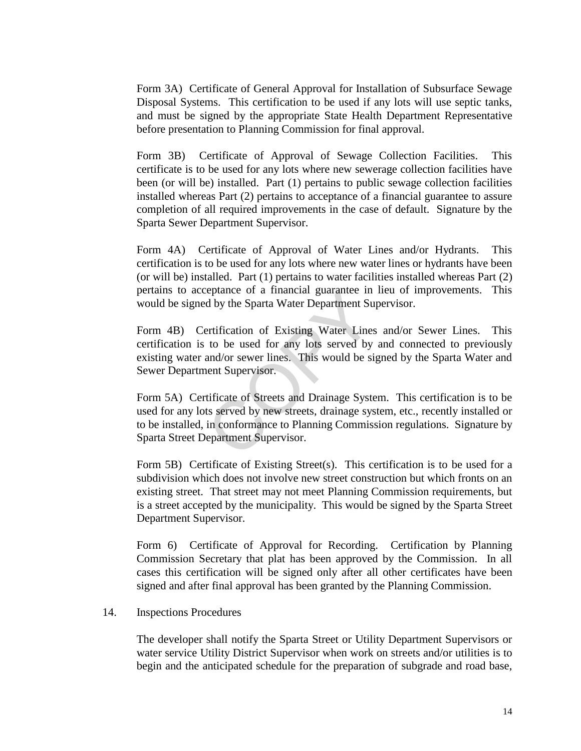Form 3A) Certificate of General Approval for Installation of Subsurface Sewage Disposal Systems. This certification to be used if any lots will use septic tanks, and must be signed by the appropriate State Health Department Representative before presentation to Planning Commission for final approval.

Form 3B) Certificate of Approval of Sewage Collection Facilities. This certificate is to be used for any lots where new sewerage collection facilities have been (or will be) installed. Part (1) pertains to public sewage collection facilities installed whereas Part (2) pertains to acceptance of a financial guarantee to assure completion of all required improvements in the case of default. Signature by the Sparta Sewer Department Supervisor.

Form 4A) Certificate of Approval of Water Lines and/or Hydrants. This certification is to be used for any lots where new water lines or hydrants have been (or will be) installed. Part (1) pertains to water facilities installed whereas Part (2) pertains to acceptance of a financial guarantee in lieu of improvements. This would be signed by the Sparta Water Department Supervisor.

Form 4B) Certification of Existing Water Lines and/or Sewer Lines. This certification is to be used for any lots served by and connected to previously existing water and/or sewer lines. This would be signed by the Sparta Water and Sewer Department Supervisor.

Form 5A) Certificate of Streets and Drainage System. This certification is to be used for any lots served by new streets, drainage system, etc., recently installed or to be installed, in conformance to Planning Commission regulations. Signature by Sparta Street Department Supervisor. Exeptence of a financial guarantee in<br>d by the Sparta Water Department Su<br>ertification of Existing Water Lines<br>to be used for any lots served by<br>and/or sewer lines. This would be si<br>ent Supervisor.<br>tificate of Streets and

Form 5B) Certificate of Existing Street(s). This certification is to be used for a subdivision which does not involve new street construction but which fronts on an existing street. That street may not meet Planning Commission requirements, but is a street accepted by the municipality. This would be signed by the Sparta Street Department Supervisor.

Form 6) Certificate of Approval for Recording. Certification by Planning Commission Secretary that plat has been approved by the Commission. In all cases this certification will be signed only after all other certificates have been signed and after final approval has been granted by the Planning Commission.

#### 14. Inspections Procedures

The developer shall notify the Sparta Street or Utility Department Supervisors or water service Utility District Supervisor when work on streets and/or utilities is to begin and the anticipated schedule for the preparation of subgrade and road base,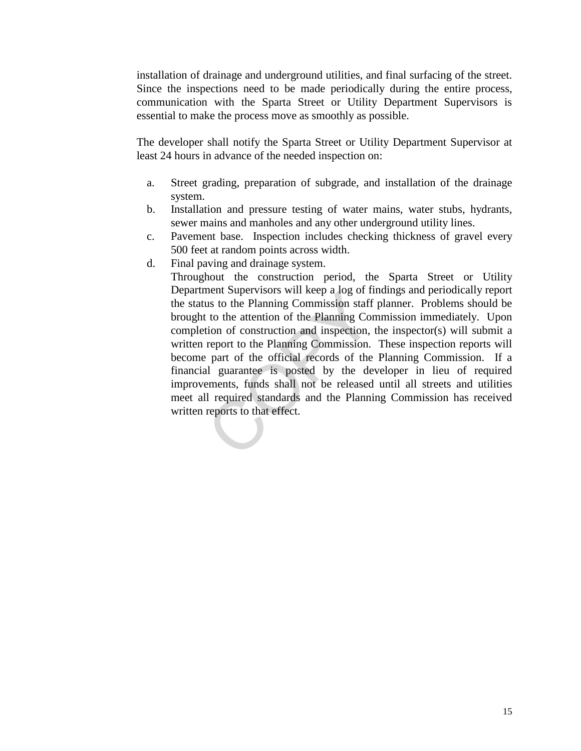installation of drainage and underground utilities, and final surfacing of the street. Since the inspections need to be made periodically during the entire process, communication with the Sparta Street or Utility Department Supervisors is essential to make the process move as smoothly as possible.

The developer shall notify the Sparta Street or Utility Department Supervisor at least 24 hours in advance of the needed inspection on:

- a. Street grading, preparation of subgrade, and installation of the drainage system.
- b. Installation and pressure testing of water mains, water stubs, hydrants, sewer mains and manholes and any other underground utility lines.
- c. Pavement base. Inspection includes checking thickness of gravel every 500 feet at random points across width.
- d. Final paving and drainage system.

Throughout the construction period, the Sparta Street or Utility Department Supervisors will keep a log of findings and periodically report the status to the Planning Commission staff planner. Problems should be brought to the attention of the Planning Commission immediately. Upon completion of construction and inspection, the inspector(s) will submit a written report to the Planning Commission. These inspection reports will become part of the official records of the Planning Commission. If a financial guarantee is posted by the developer in lieu of required improvements, funds shall not be released until all streets and utilities meet all required standards and the Planning Commission has received written reports to that effect. ment Supervisors will keep a log of In<br>lus to the Planning Commission staff<br>to the attention of the Planning Cor<br>tion of construction and inspection,<br>report to the Planning Commission.<br>part of the official records of the<br>a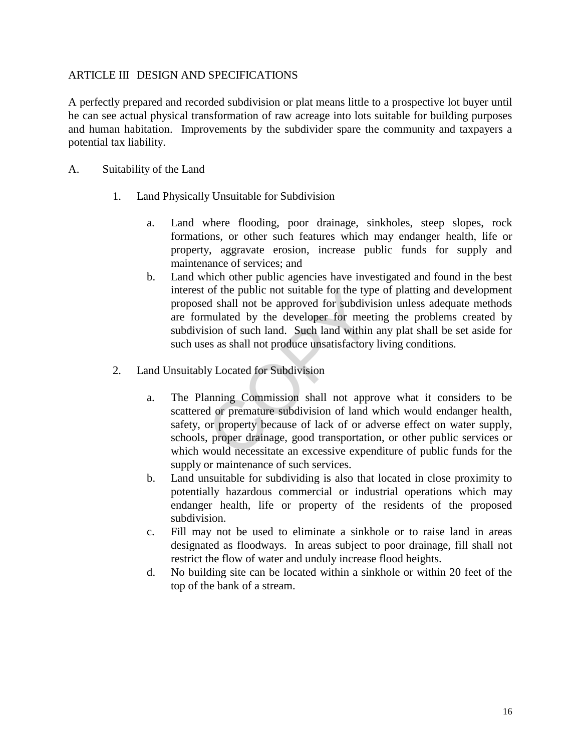## ARTICLE III DESIGN AND SPECIFICATIONS

A perfectly prepared and recorded subdivision or plat means little to a prospective lot buyer until he can see actual physical transformation of raw acreage into lots suitable for building purposes and human habitation. Improvements by the subdivider spare the community and taxpayers a potential tax liability.

- A. Suitability of the Land
	- 1. Land Physically Unsuitable for Subdivision
		- a. Land where flooding, poor drainage, sinkholes, steep slopes, rock formations, or other such features which may endanger health, life or property, aggravate erosion, increase public funds for supply and maintenance of services; and
		- b. Land which other public agencies have investigated and found in the best interest of the public not suitable for the type of platting and development proposed shall not be approved for subdivision unless adequate methods are formulated by the developer for meeting the problems created by subdivision of such land. Such land within any plat shall be set aside for such uses as shall not produce unsatisfactory living conditions.
	- 2. Land Unsuitably Located for Subdivision
- a. The Planning Commission shall not approve what it considers to be scattered or premature subdivision of land which would endanger health, safety, or property because of lack of or adverse effect on water supply, schools, proper drainage, good transportation, or other public services or which would necessitate an excessive expenditure of public funds for the supply or maintenance of such services. of the public not suitable for the typ<br>d shall not be approved for subdivisi-<br>mulated by the developer for meet<br>sion of such land. Such land within<br>es as shall not produce unsatisfactory<br>ly Located for Subdivision<br>anning C
	- b. Land unsuitable for subdividing is also that located in close proximity to potentially hazardous commercial or industrial operations which may endanger health, life or property of the residents of the proposed subdivision.
	- c. Fill may not be used to eliminate a sinkhole or to raise land in areas designated as floodways. In areas subject to poor drainage, fill shall not restrict the flow of water and unduly increase flood heights.
	- d. No building site can be located within a sinkhole or within 20 feet of the top of the bank of a stream.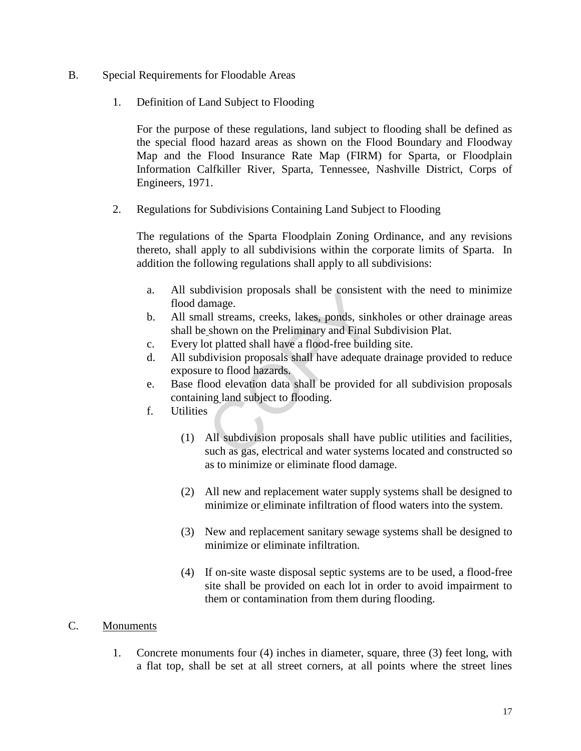- B. Special Requirements for Floodable Areas
	- 1. Definition of Land Subject to Flooding

For the purpose of these regulations, land subject to flooding shall be defined as the special flood hazard areas as shown on the Flood Boundary and Floodway Map and the Flood Insurance Rate Map (FIRM) for Sparta, or Floodplain Information Calfkiller River, Sparta, Tennessee, Nashville District, Corps of Engineers, 1971.

2. Regulations for Subdivisions Containing Land Subject to Flooding

The regulations of the Sparta Floodplain Zoning Ordinance, and any revisions thereto, shall apply to all subdivisions within the corporate limits of Sparta. In addition the following regulations shall apply to all subdivisions:

- a. All subdivision proposals shall be consistent with the need to minimize flood damage.
- b. All small streams, creeks, lakes, ponds, sinkholes or other drainage areas shall be shown on the Preliminary and Final Subdivision Plat.
- c. Every lot platted shall have a flood-free building site.
- d. All subdivision proposals shall have adequate drainage provided to reduce exposure to flood hazards.
- e. Base flood elevation data shall be provided for all subdivision proposals containing land subject to flooding.
- f. Utilities
- (1) All subdivision proposals shall have public utilities and facilities, such as gas, electrical and water systems located and constructed so as to minimize or eliminate flood damage. division proposals shall be consisted<br>amage.<br>all streams, creeks, lakes, ponds, sink-<br>shown on the Preliminary and Final<br>of platted shall have a flood-free build<br>division proposals shall have adequat<br>re to flood hazards.<br>b
	- (2) All new and replacement water supply systems shall be designed to minimize or eliminate infiltration of flood waters into the system.
	- (3) New and replacement sanitary sewage systems shall be designed to minimize or eliminate infiltration.
	- (4) If on-site waste disposal septic systems are to be used, a flood-free site shall be provided on each lot in order to avoid impairment to them or contamination from them during flooding.

## C. Monuments

1. Concrete monuments four (4) inches in diameter, square, three (3) feet long, with a flat top, shall be set at all street corners, at all points where the street lines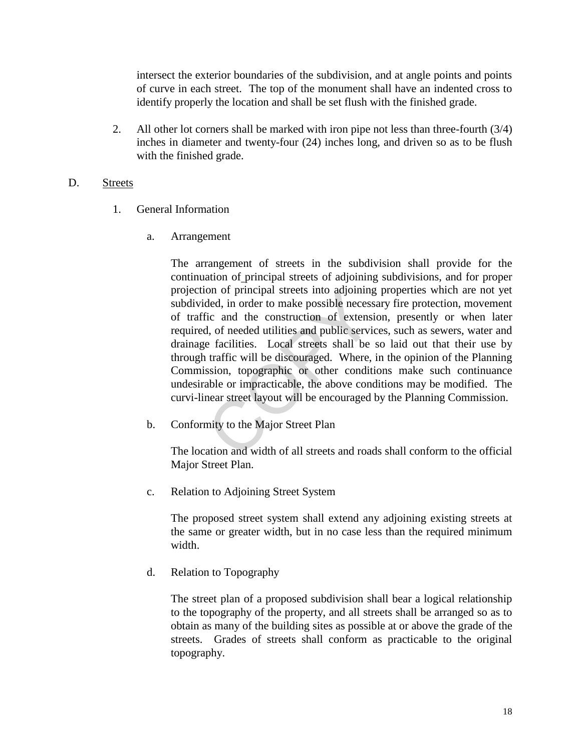intersect the exterior boundaries of the subdivision, and at angle points and points of curve in each street. The top of the monument shall have an indented cross to identify properly the location and shall be set flush with the finished grade.

2. All other lot corners shall be marked with iron pipe not less than three-fourth (3/4) inches in diameter and twenty-four (24) inches long, and driven so as to be flush with the finished grade.

## D. Streets

- 1. General Information
	- a. Arrangement

The arrangement of streets in the subdivision shall provide for the continuation of principal streets of adjoining subdivisions, and for proper projection of principal streets into adjoining properties which are not yet subdivided, in order to make possible necessary fire protection, movement of traffic and the construction of extension, presently or when later required, of needed utilities and public services, such as sewers, water and drainage facilities. Local streets shall be so laid out that their use by through traffic will be discouraged. Where, in the opinion of the Planning Commission, topographic or other conditions make such continuance undesirable or impracticable, the above conditions may be modified. The curvi-linear street layout will be encouraged by the Planning Commission. on of principal streets into adjoining<br>ded, in order to make possible necess<br>ic and the construction of extensi<br>i, of needed utilities and public service<br>facilities. Local streets shall be<br>traffic will be discouraged. Wher

b. Conformity to the Major Street Plan

The location and width of all streets and roads shall conform to the official Major Street Plan.

c. Relation to Adjoining Street System

The proposed street system shall extend any adjoining existing streets at the same or greater width, but in no case less than the required minimum width.

d. Relation to Topography

The street plan of a proposed subdivision shall bear a logical relationship to the topography of the property, and all streets shall be arranged so as to obtain as many of the building sites as possible at or above the grade of the streets. Grades of streets shall conform as practicable to the original topography.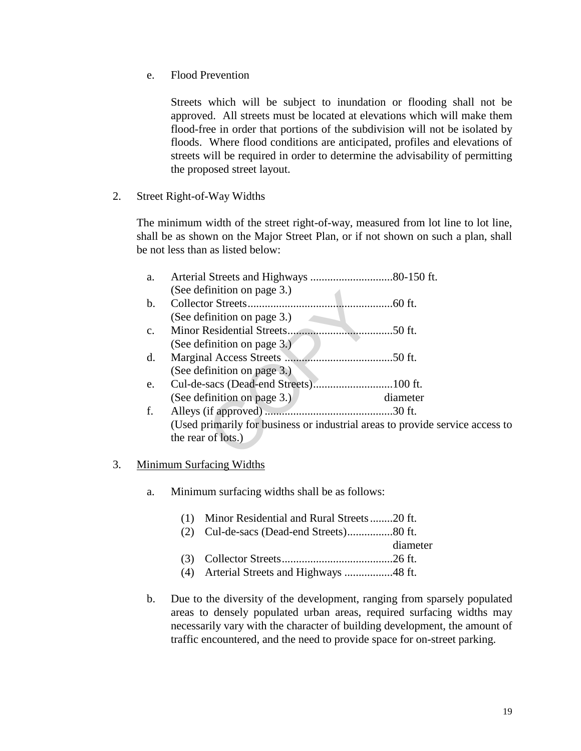e. Flood Prevention

Streets which will be subject to inundation or flooding shall not be approved. All streets must be located at elevations which will make them flood-free in order that portions of the subdivision will not be isolated by floods. Where flood conditions are anticipated, profiles and elevations of streets will be required in order to determine the advisability of permitting the proposed street layout.

2. Street Right-of-Way Widths

The minimum width of the street right-of-way, measured from lot line to lot line, shall be as shown on the Major Street Plan, or if not shown on such a plan, shall be not less than as listed below:

|    | a.             |                                |                                                                               |
|----|----------------|--------------------------------|-------------------------------------------------------------------------------|
|    |                | (See definition on page 3.)    |                                                                               |
|    | $\mathbf{b}$ . |                                |                                                                               |
|    |                | (See definition on page 3.)    |                                                                               |
|    | $C_{\star}$    |                                | .50 ft.                                                                       |
|    |                | (See definition on page $3.$ ) |                                                                               |
|    | d.             |                                |                                                                               |
|    |                | (See definition on page 3.)    |                                                                               |
|    | e.             |                                |                                                                               |
|    |                | (See definition on page 3.)    | diameter                                                                      |
|    | f.             |                                |                                                                               |
|    |                |                                | (Used primarily for business or industrial areas to provide service access to |
|    |                | the rear of lots.)             |                                                                               |
|    |                |                                |                                                                               |
| 3. |                | Minimum Surfacing Widths       |                                                                               |
|    |                |                                |                                                                               |
|    |                |                                |                                                                               |

- a. Minimum surfacing widths shall be as follows:
	- (1) Minor Residential and Rural Streets ........20 ft.
	- (2) Cul-de-sacs (Dead-end Streets) ................80 ft.
	- diameter
	- (3) Collector Streets .......................................26 ft.
	- (4) Arterial Streets and Highways .................48 ft.
- b. Due to the diversity of the development, ranging from sparsely populated areas to densely populated urban areas, required surfacing widths may necessarily vary with the character of building development, the amount of traffic encountered, and the need to provide space for on-street parking.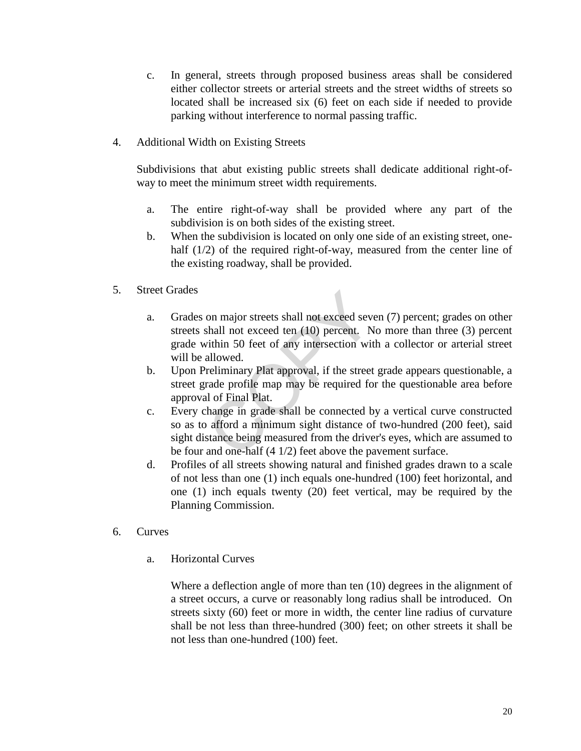- c. In general, streets through proposed business areas shall be considered either collector streets or arterial streets and the street widths of streets so located shall be increased six (6) feet on each side if needed to provide parking without interference to normal passing traffic.
- 4. Additional Width on Existing Streets

Subdivisions that abut existing public streets shall dedicate additional right-ofway to meet the minimum street width requirements.

- a. The entire right-of-way shall be provided where any part of the subdivision is on both sides of the existing street.
- b. When the subdivision is located on only one side of an existing street, onehalf (1/2) of the required right-of-way, measured from the center line of the existing roadway, shall be provided.
- 5. Street Grades
	- a. Grades on major streets shall not exceed seven (7) percent; grades on other streets shall not exceed ten (10) percent. No more than three (3) percent grade within 50 feet of any intersection with a collector or arterial street will be allowed.
	- b. Upon Preliminary Plat approval, if the street grade appears questionable, a street grade profile map may be required for the questionable area before approval of Final Plat.
	- c. Every change in grade shall be connected by a vertical curve constructed so as to afford a minimum sight distance of two-hundred (200 feet), said sight distance being measured from the driver's eyes, which are assumed to be four and one-half (4 1/2) feet above the pavement surface. on major streets shall not exceed severals and not exceed ten (10) percent. Notify in 50 feet of any intersection wit allowed.<br>The reliminary Plat approval, if the street rade profile map may be required for all of Final P
	- d. Profiles of all streets showing natural and finished grades drawn to a scale of not less than one (1) inch equals one-hundred (100) feet horizontal, and one (1) inch equals twenty (20) feet vertical, may be required by the Planning Commission.
- 6. Curves
	- a. Horizontal Curves

Where a deflection angle of more than ten (10) degrees in the alignment of a street occurs, a curve or reasonably long radius shall be introduced. On streets sixty (60) feet or more in width, the center line radius of curvature shall be not less than three-hundred (300) feet; on other streets it shall be not less than one-hundred (100) feet.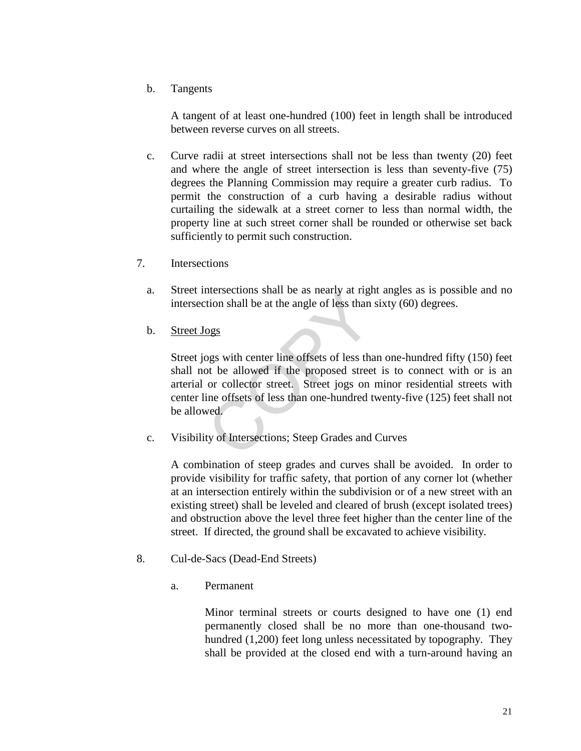b. Tangents

A tangent of at least one-hundred (100) feet in length shall be introduced between reverse curves on all streets.

- c. Curve radii at street intersections shall not be less than twenty (20) feet and where the angle of street intersection is less than seventy-five (75) degrees the Planning Commission may require a greater curb radius. To permit the construction of a curb having a desirable radius without curtailing the sidewalk at a street corner to less than normal width, the property line at such street corner shall be rounded or otherwise set back sufficiently to permit such construction.
- 7. Intersections
	- a. Street intersections shall be as nearly at right angles as is possible and no intersection shall be at the angle of less than sixty (60) degrees.
	- b. Street Jogs

Street jogs with center line offsets of less than one-hundred fifty (150) feet shall not be allowed if the proposed street is to connect with or is an arterial or collector street. Street jogs on minor residential streets with center line offsets of less than one-hundred twenty-five (125) feet shall not be allowed. mersections shall be as hearly at right<br>tion shall be at the angle of less than<br>ogs<br>pgs with center line offsets of less than<br>ogs<br>or collector street. Street jogs on<br>ine offsets of less than one-hundred t<br>wed.<br>ty of Inters

c. Visibility of Intersections; Steep Grades and Curves

A combination of steep grades and curves shall be avoided. In order to provide visibility for traffic safety, that portion of any corner lot (whether at an intersection entirely within the subdivision or of a new street with an existing street) shall be leveled and cleared of brush (except isolated trees) and obstruction above the level three feet higher than the center line of the street. If directed, the ground shall be excavated to achieve visibility.

- 8. Cul-de-Sacs (Dead-End Streets)
	- a. Permanent

Minor terminal streets or courts designed to have one (1) end permanently closed shall be no more than one-thousand twohundred (1,200) feet long unless necessitated by topography. They shall be provided at the closed end with a turn-around having an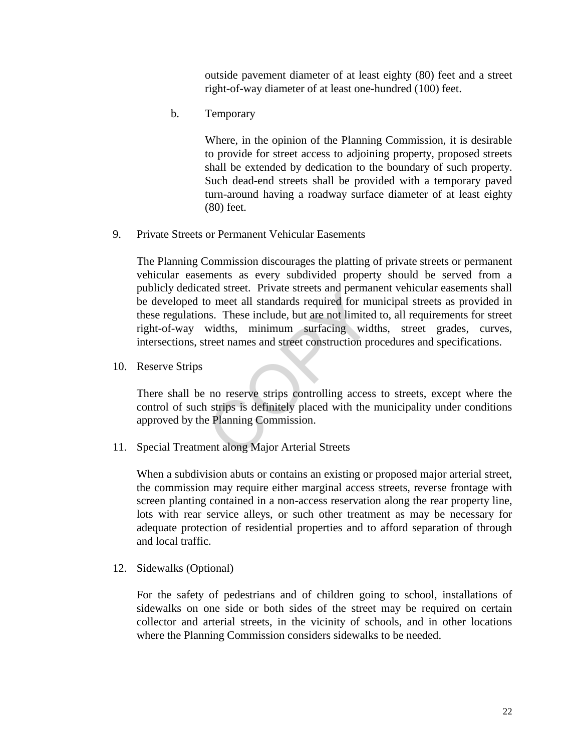outside pavement diameter of at least eighty (80) feet and a street right-of-way diameter of at least one-hundred (100) feet.

b. Temporary

Where, in the opinion of the Planning Commission, it is desirable to provide for street access to adjoining property, proposed streets shall be extended by dedication to the boundary of such property. Such dead-end streets shall be provided with a temporary paved turn-around having a roadway surface diameter of at least eighty (80) feet.

9. Private Streets or Permanent Vehicular Easements

The Planning Commission discourages the platting of private streets or permanent vehicular easements as every subdivided property should be served from a publicly dedicated street. Private streets and permanent vehicular easements shall be developed to meet all standards required for municipal streets as provided in these regulations. These include, but are not limited to, all requirements for street right-of-way widths, minimum surfacing widths, street grades, curves, intersections, street names and street construction procedures and specifications. net all standards required for must<br>come all standards required for must<br>minimum surfacing widd<br>treet names and street construction pr<br>no reserve strips controlling access<br>a strips is definitely placed with the replanning

10. Reserve Strips

There shall be no reserve strips controlling access to streets, except where the control of such strips is definitely placed with the municipality under conditions approved by the Planning Commission.

11. Special Treatment along Major Arterial Streets

When a subdivision abuts or contains an existing or proposed major arterial street, the commission may require either marginal access streets, reverse frontage with screen planting contained in a non-access reservation along the rear property line, lots with rear service alleys, or such other treatment as may be necessary for adequate protection of residential properties and to afford separation of through and local traffic.

12. Sidewalks (Optional)

For the safety of pedestrians and of children going to school, installations of sidewalks on one side or both sides of the street may be required on certain collector and arterial streets, in the vicinity of schools, and in other locations where the Planning Commission considers sidewalks to be needed.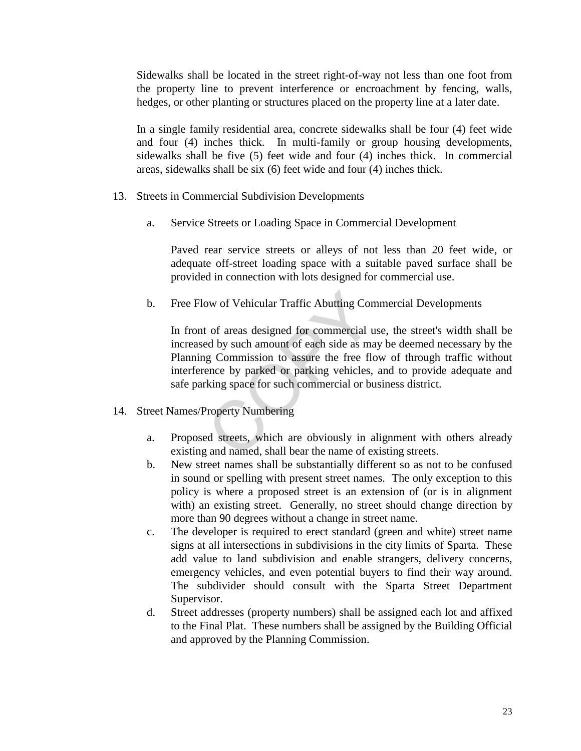Sidewalks shall be located in the street right-of-way not less than one foot from the property line to prevent interference or encroachment by fencing, walls, hedges, or other planting or structures placed on the property line at a later date.

In a single family residential area, concrete sidewalks shall be four (4) feet wide and four (4) inches thick. In multi-family or group housing developments, sidewalks shall be five (5) feet wide and four (4) inches thick. In commercial areas, sidewalks shall be six (6) feet wide and four (4) inches thick.

- 13. Streets in Commercial Subdivision Developments
	- a. Service Streets or Loading Space in Commercial Development

Paved rear service streets or alleys of not less than 20 feet wide, or adequate off-street loading space with a suitable paved surface shall be provided in connection with lots designed for commercial use.

b. Free Flow of Vehicular Traffic Abutting Commercial Developments

In front of areas designed for commercial use, the street's width shall be increased by such amount of each side as may be deemed necessary by the Planning Commission to assure the free flow of through traffic without interference by parked or parking vehicles, and to provide adequate and safe parking space for such commercial or business district. by of Vehicular Traffic Abutting Con<br>
c of areas designed for commercial under<br>
d by such amount of each side as many commission to assure the free fluence<br>
by parked or parking vehicles,<br>
king space for such commercial or

- 14. Street Names/Property Numbering
	- a. Proposed streets, which are obviously in alignment with others already existing and named, shall bear the name of existing streets.
	- b. New street names shall be substantially different so as not to be confused in sound or spelling with present street names. The only exception to this policy is where a proposed street is an extension of (or is in alignment with) an existing street. Generally, no street should change direction by more than 90 degrees without a change in street name.
	- c. The developer is required to erect standard (green and white) street name signs at all intersections in subdivisions in the city limits of Sparta. These add value to land subdivision and enable strangers, delivery concerns, emergency vehicles, and even potential buyers to find their way around. The subdivider should consult with the Sparta Street Department Supervisor.
	- d. Street addresses (property numbers) shall be assigned each lot and affixed to the Final Plat. These numbers shall be assigned by the Building Official and approved by the Planning Commission.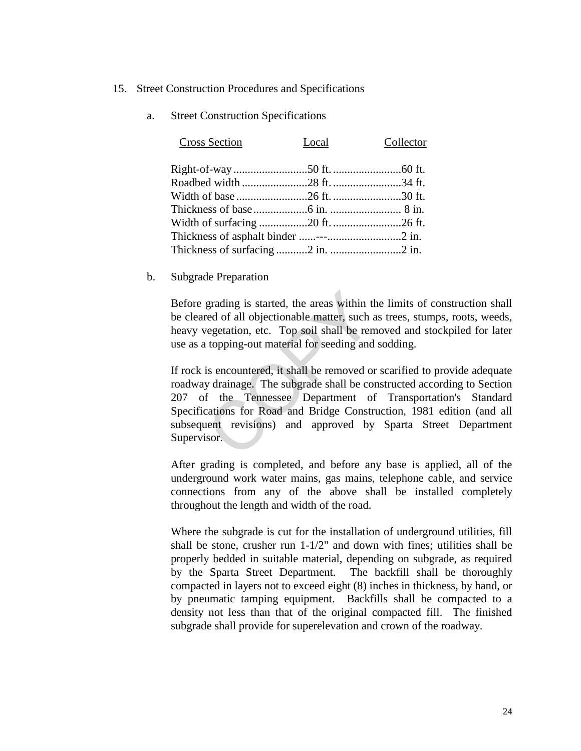#### 15. Street Construction Procedures and Specifications

a. Street Construction Specifications

| Cross Section | Local | Collector |
|---------------|-------|-----------|
|               |       |           |
|               |       |           |
|               |       |           |
|               |       |           |
|               |       |           |
|               |       |           |
|               |       |           |
|               |       |           |

b. Subgrade Preparation

Before grading is started, the areas within the limits of construction shall be cleared of all objectionable matter, such as trees, stumps, roots, weeds, heavy vegetation, etc. Top soil shall be removed and stockpiled for later use as a topping-out material for seeding and sodding.

If rock is encountered, it shall be removed or scarified to provide adequate roadway drainage. The subgrade shall be constructed according to Section 207 of the Tennessee Department of Transportation's Standard Specifications for Road and Bridge Construction, 1981 edition (and all subsequent revisions) and approved by Sparta Street Department Supervisor. grading is started, the areas within the comparation example in the expectation, etc. Top soil shall be rent topping-out material for seeding and is encountered, it shall be removed on y drainage. The subgrade shall be com

After grading is completed, and before any base is applied, all of the underground work water mains, gas mains, telephone cable, and service connections from any of the above shall be installed completely throughout the length and width of the road.

Where the subgrade is cut for the installation of underground utilities, fill shall be stone, crusher run 1-1/2" and down with fines; utilities shall be properly bedded in suitable material, depending on subgrade, as required by the Sparta Street Department. The backfill shall be thoroughly compacted in layers not to exceed eight (8) inches in thickness, by hand, or by pneumatic tamping equipment. Backfills shall be compacted to a density not less than that of the original compacted fill. The finished subgrade shall provide for superelevation and crown of the roadway.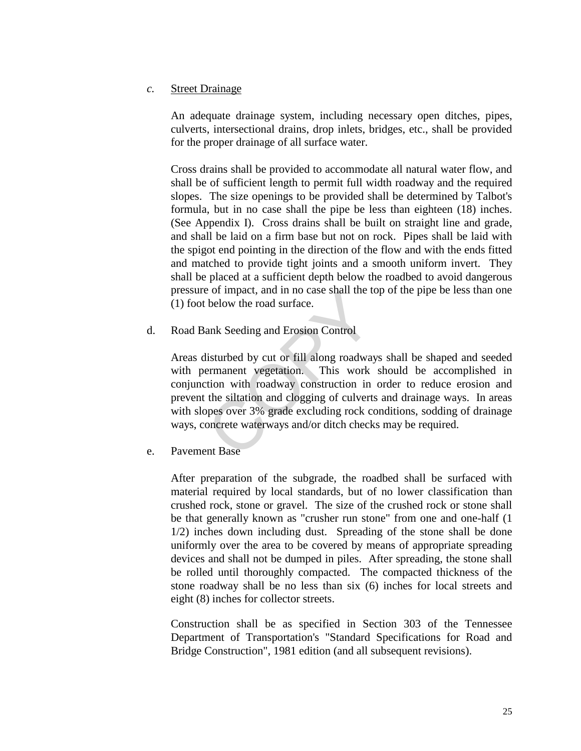## *c.* Street Drainage

An adequate drainage system, including necessary open ditches, pipes, culverts, intersectional drains, drop inlets, bridges, etc., shall be provided for the proper drainage of all surface water.

Cross drains shall be provided to accommodate all natural water flow, and shall be of sufficient length to permit full width roadway and the required slopes. The size openings to be provided shall be determined by Talbot's formula, but in no case shall the pipe be less than eighteen (18) inches. (See Appendix I). Cross drains shall be built on straight line and grade, and shall be laid on a firm base but not on rock. Pipes shall be laid with the spigot end pointing in the direction of the flow and with the ends fitted and matched to provide tight joints and a smooth uniform invert. They shall be placed at a sufficient depth below the roadbed to avoid dangerous pressure of impact, and in no case shall the top of the pipe be less than one (1) foot below the road surface.

d. Road Bank Seeding and Erosion Control

Areas disturbed by cut or fill along roadways shall be shaped and seeded with permanent vegetation. This work should be accomplished in conjunction with roadway construction in order to reduce erosion and prevent the siltation and clogging of culverts and drainage ways. In areas with slopes over 3% grade excluding rock conditions, sodding of drainage ways, concrete waterways and/or ditch checks may be required. For the road surface.<br>
ank Seeding and Erosion Control<br>
listurbed by cut or fill along roadway<br>
ermanent vegetation. This work<br>
tion with roadway construction in<br>
the siltation and clogging of culverts<br>
ppes over 3% grade

e. Pavement Base

After preparation of the subgrade, the roadbed shall be surfaced with material required by local standards, but of no lower classification than crushed rock, stone or gravel. The size of the crushed rock or stone shall be that generally known as "crusher run stone" from one and one-half (1 1/2) inches down including dust. Spreading of the stone shall be done uniformly over the area to be covered by means of appropriate spreading devices and shall not be dumped in piles. After spreading, the stone shall be rolled until thoroughly compacted. The compacted thickness of the stone roadway shall be no less than six (6) inches for local streets and eight (8) inches for collector streets.

Construction shall be as specified in Section 303 of the Tennessee Department of Transportation's "Standard Specifications for Road and Bridge Construction", 1981 edition (and all subsequent revisions).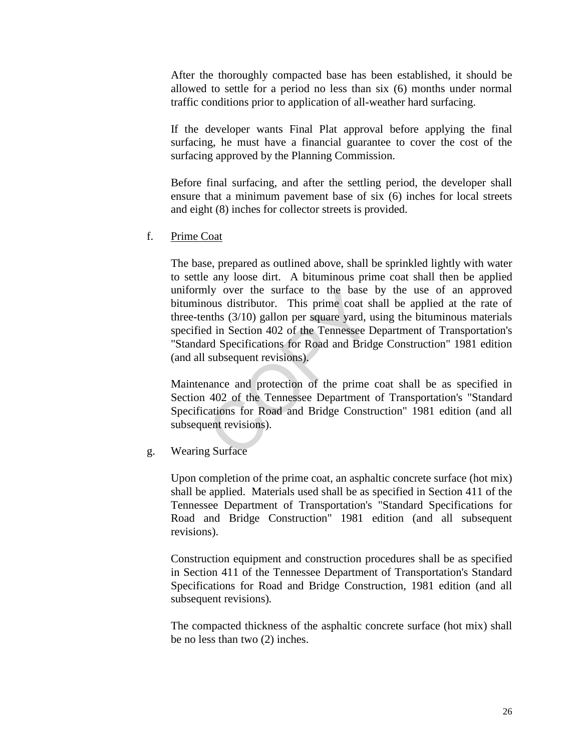After the thoroughly compacted base has been established, it should be allowed to settle for a period no less than six (6) months under normal traffic conditions prior to application of all-weather hard surfacing.

If the developer wants Final Plat approval before applying the final surfacing, he must have a financial guarantee to cover the cost of the surfacing approved by the Planning Commission.

Before final surfacing, and after the settling period, the developer shall ensure that a minimum pavement base of six (6) inches for local streets and eight (8) inches for collector streets is provided.

f. Prime Coat

The base, prepared as outlined above, shall be sprinkled lightly with water to settle any loose dirt. A bituminous prime coat shall then be applied uniformly over the surface to the base by the use of an approved bituminous distributor. This prime coat shall be applied at the rate of three-tenths (3/10) gallon per square yard, using the bituminous materials specified in Section 402 of the Tennessee Department of Transportation's "Standard Specifications for Road and Bridge Construction" 1981 edition (and all subsequent revisions). In the surface to the base<br>cous distributor. This prime coat sl<br>nths (3/10) gallon per square yard, u<br>d in Section 402 of the Tennessee D<br>rd Specifications for Road and Bridg<br>subsequent revisions).<br>ance and protection of t

Maintenance and protection of the prime coat shall be as specified in Section 402 of the Tennessee Department of Transportation's "Standard Specifications for Road and Bridge Construction" 1981 edition (and all subsequent revisions).

g. Wearing Surface

Upon completion of the prime coat, an asphaltic concrete surface (hot mix) shall be applied. Materials used shall be as specified in Section 411 of the Tennessee Department of Transportation's "Standard Specifications for Road and Bridge Construction" 1981 edition (and all subsequent revisions).

Construction equipment and construction procedures shall be as specified in Section 411 of the Tennessee Department of Transportation's Standard Specifications for Road and Bridge Construction, 1981 edition (and all subsequent revisions)*.*

The compacted thickness of the asphaltic concrete surface (hot mix) shall be no less than two (2) inches.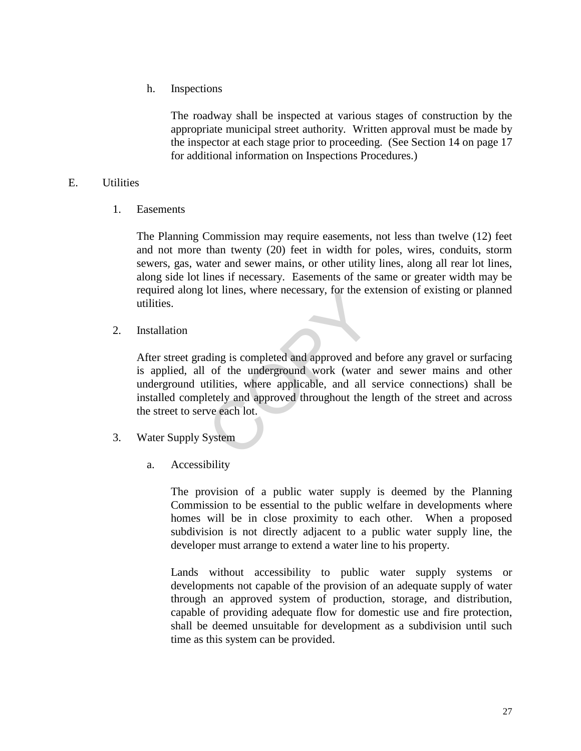h. Inspections

The roadway shall be inspected at various stages of construction by the appropriate municipal street authority. Written approval must be made by the inspector at each stage prior to proceeding. (See Section 14 on page 17 for additional information on Inspections Procedures.)

## E. Utilities

1. Easements

The Planning Commission may require easements, not less than twelve (12) feet and not more than twenty (20) feet in width for poles, wires, conduits, storm sewers, gas, water and sewer mains, or other utility lines, along all rear lot lines, along side lot lines if necessary. Easements of the same or greater width may be required along lot lines, where necessary, for the extension of existing or planned utilities.

2. Installation

After street grading is completed and approved and before any gravel or surfacing is applied, all of the underground work (water and sewer mains and other underground utilities, where applicable, and all service connections) shall be installed completely and approved throughout the length of the street and across the street to serve each lot. Fol times, where necessary, for the example of the underground work (water tilities, where applicable, and all settly and approved throughout the l we each lot.

- 3. Water Supply System
	- a. Accessibility

The provision of a public water supply is deemed by the Planning Commission to be essential to the public welfare in developments where homes will be in close proximity to each other. When a proposed subdivision is not directly adjacent to a public water supply line, the developer must arrange to extend a water line to his property.

Lands without accessibility to public water supply systems or developments not capable of the provision of an adequate supply of water through an approved system of production, storage, and distribution, capable of providing adequate flow for domestic use and fire protection, shall be deemed unsuitable for development as a subdivision until such time as this system can be provided.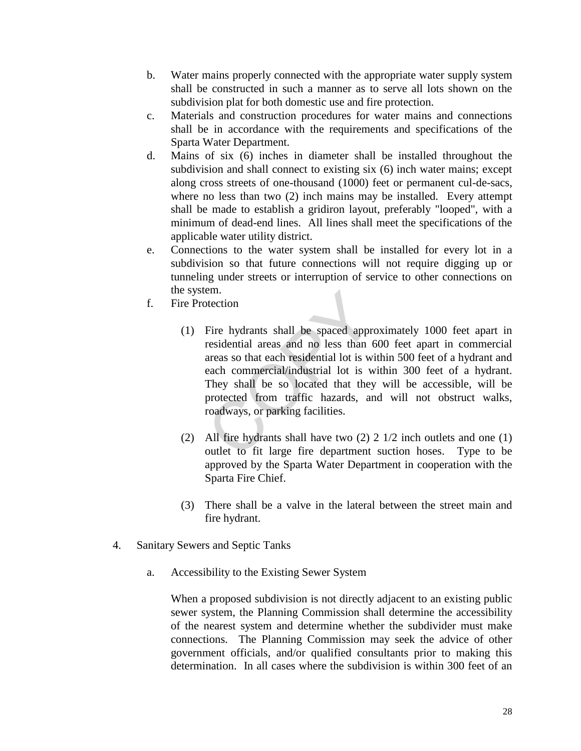- b. Water mains properly connected with the appropriate water supply system shall be constructed in such a manner as to serve all lots shown on the subdivision plat for both domestic use and fire protection.
- c. Materials and construction procedures for water mains and connections shall be in accordance with the requirements and specifications of the Sparta Water Department.
- d. Mains of six (6) inches in diameter shall be installed throughout the subdivision and shall connect to existing six (6) inch water mains; except along cross streets of one-thousand (1000) feet or permanent cul-de-sacs, where no less than two (2) inch mains may be installed. Every attempt shall be made to establish a gridiron layout, preferably "looped", with a minimum of dead-end lines. All lines shall meet the specifications of the applicable water utility district.
- e. Connections to the water system shall be installed for every lot in a subdivision so that future connections will not require digging up or tunneling under streets or interruption of service to other connections on the system.
- f. Fire Protection
- (1) Fire hydrants shall be spaced approximately 1000 feet apart in residential areas and no less than 600 feet apart in commercial areas so that each residential lot is within 500 feet of a hydrant and each commercial/industrial lot is within 300 feet of a hydrant. They shall be so located that they will be accessible, will be protected from traffic hazards, and will not obstruct walks, roadways, or parking facilities. em.<br>
betection<br>
Fire hydrants shall be spaced appre<br>
residential areas and no less than 6<br>
areas so that each residential lot is wi<br>
each commercial/industrial lot is w<br>
They shall be so located that they<br>
protected from t
	- (2) All fire hydrants shall have two (2) 2 1/2 inch outlets and one (1) outlet to fit large fire department suction hoses. Type to be approved by the Sparta Water Department in cooperation with the Sparta Fire Chief.
	- (3) There shall be a valve in the lateral between the street main and fire hydrant.
- 4. Sanitary Sewers and Septic Tanks
	- a. Accessibility to the Existing Sewer System

When a proposed subdivision is not directly adjacent to an existing public sewer system, the Planning Commission shall determine the accessibility of the nearest system and determine whether the subdivider must make connections. The Planning Commission may seek the advice of other government officials, and/or qualified consultants prior to making this determination. In all cases where the subdivision is within 300 feet of an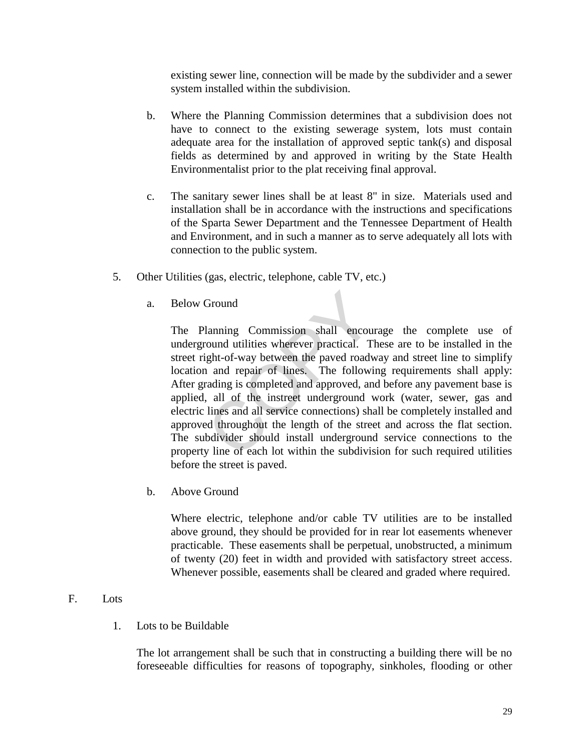existing sewer line, connection will be made by the subdivider and a sewer system installed within the subdivision.

- b. Where the Planning Commission determines that a subdivision does not have to connect to the existing sewerage system, lots must contain adequate area for the installation of approved septic tank(s) and disposal fields as determined by and approved in writing by the State Health Environmentalist prior to the plat receiving final approval.
- c. The sanitary sewer lines shall be at least 8" in size. Materials used and installation shall be in accordance with the instructions and specifications of the Sparta Sewer Department and the Tennessee Department of Health and Environment, and in such a manner as to serve adequately all lots with connection to the public system.
- 5. Other Utilities (gas, electric, telephone, cable TV, etc.)
	- a. Below Ground

The Planning Commission shall encourage the complete use of underground utilities wherever practical. These are to be installed in the street right-of-way between the paved roadway and street line to simplify location and repair of lines. The following requirements shall apply: After grading is completed and approved, and before any pavement base is applied, all of the instreet underground work (water, sewer, gas and electric lines and all service connections) shall be completely installed and approved throughout the length of the street and across the flat section. The subdivider should install underground service connections to the property line of each lot within the subdivision for such required utilities before the street is paved. Ground<br>
lanning Commission shall encournd utilities wherever practical. T<br>
ght-of-way between the paved roady<br>
and repair of lines. The followith<br>
ading is completed and approved, an<br>
all of the instreet underground v<br>
lin

b. Above Ground

Where electric, telephone and/or cable TV utilities are to be installed above ground, they should be provided for in rear lot easements whenever practicable. These easements shall be perpetual, unobstructed, a minimum of twenty (20) feet in width and provided with satisfactory street access. Whenever possible, easements shall be cleared and graded where required.

## F. Lots

1. Lots to be Buildable

The lot arrangement shall be such that in constructing a building there will be no foreseeable difficulties for reasons of topography, sinkholes, flooding or other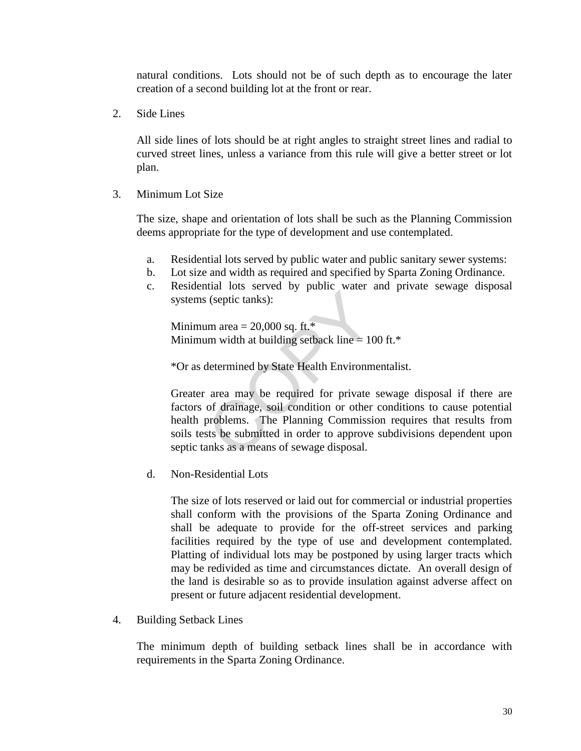natural conditions. Lots should not be of such depth as to encourage the later creation of a second building lot at the front or rear.

2. Side Lines

All side lines of lots should be at right angles to straight street lines and radial to curved street lines, unless a variance from this rule will give a better street or lot plan.

3. Minimum Lot Size

The size, shape and orientation of lots shall be such as the Planning Commission deems appropriate for the type of development and use contemplated.

- a. Residential lots served by public water and public sanitary sewer systems:
- b. Lot size and width as required and specified by Sparta Zoning Ordinance.
- c. Residential lots served by public water and private sewage disposal systems (septic tanks):

Minimum area  $= 20,000$  sq. ft.<sup>\*</sup> Minimum width at building setback line  $= 100$  ft.\*

\*Or as determined by State Health Environmentalist.

Greater area may be required for private sewage disposal if there are factors of drainage, soil condition or other conditions to cause potential health problems. The Planning Commission requires that results from soils tests be submitted in order to approve subdivisions dependent upon septic tanks as a means of sewage disposal. Solved by Public 1.1 (septic tanks):<br>
um area = 20,000 sq. ft.\*<br>
um width at building setback line = 10<br>
determined by State Health Environm<br>
area may be required for private<br>
of drainage, soil condition or other<br>
problem

d. Non-Residential Lots

The size of lots reserved or laid out for commercial or industrial properties shall conform with the provisions of the Sparta Zoning Ordinance and shall be adequate to provide for the off-street services and parking facilities required by the type of use and development contemplated. Platting of individual lots may be postponed by using larger tracts which may be redivided as time and circumstances dictate. An overall design of the land is desirable so as to provide insulation against adverse affect on present or future adjacent residential development.

4. Building Setback Lines

The minimum depth of building setback lines shall be in accordance with requirements in the Sparta Zoning Ordinance.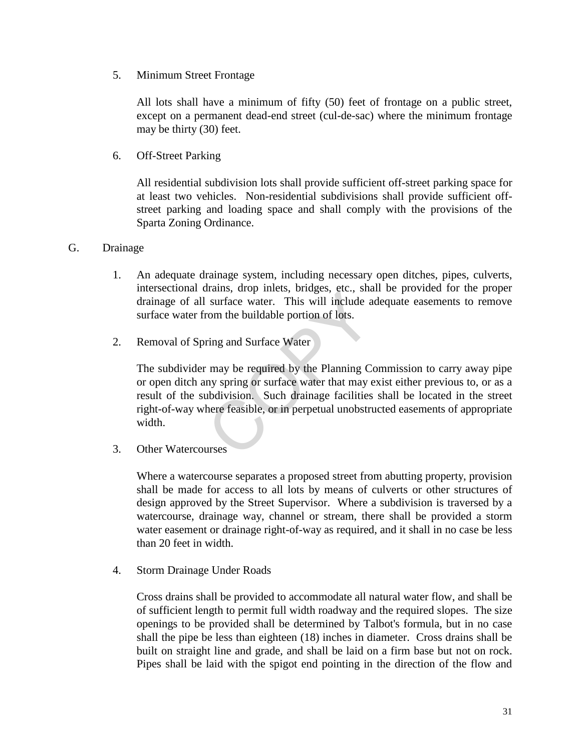5. Minimum Street Frontage

All lots shall have a minimum of fifty (50) feet of frontage on a public street, except on a permanent dead-end street (cul-de-sac) where the minimum frontage may be thirty (30) feet.

6. Off-Street Parking

All residential subdivision lots shall provide sufficient off-street parking space for at least two vehicles. Non-residential subdivisions shall provide sufficient offstreet parking and loading space and shall comply with the provisions of the Sparta Zoning Ordinance.

- G. Drainage
	- 1. An adequate drainage system, including necessary open ditches, pipes, culverts, intersectional drains, drop inlets, bridges, etc., shall be provided for the proper drainage of all surface water. This will include adequate easements to remove surface water from the buildable portion of lots.
	- 2. Removal of Spring and Surface Water

The subdivider may be required by the Planning Commission to carry away pipe or open ditch any spring or surface water that may exist either previous to, or as a result of the subdivision. Such drainage facilities shall be located in the street right-of-way where feasible, or in perpetual unobstructed easements of appropriate width. Trains, drop micts, origets, etc., shawed surface water. This will include a<br>surface water. This will include a<br>rom the buildable portion of lots.<br>ring and Surface Water<br>may be required by the Planning Co<br>ny spring or surf

3. Other Watercourses

Where a watercourse separates a proposed street from abutting property, provision shall be made for access to all lots by means of culverts or other structures of design approved by the Street Supervisor. Where a subdivision is traversed by a watercourse, drainage way, channel or stream, there shall be provided a storm water easement or drainage right-of-way as required, and it shall in no case be less than 20 feet in width.

4. Storm Drainage Under Roads

Cross drains shall be provided to accommodate all natural water flow, and shall be of sufficient length to permit full width roadway and the required slopes. The size openings to be provided shall be determined by Talbot's formula, but in no case shall the pipe be less than eighteen (18) inches in diameter. Cross drains shall be built on straight line and grade, and shall be laid on a firm base but not on rock. Pipes shall be laid with the spigot end pointing in the direction of the flow and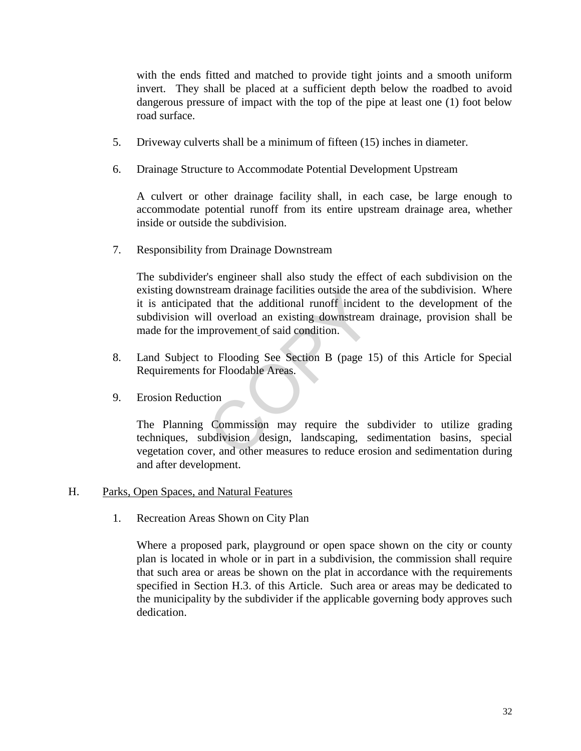with the ends fitted and matched to provide tight joints and a smooth uniform invert. They shall be placed at a sufficient depth below the roadbed to avoid dangerous pressure of impact with the top of the pipe at least one (1) foot below road surface.

- 5. Driveway culverts shall be a minimum of fifteen (15) inches in diameter.
- 6. Drainage Structure to Accommodate Potential Development Upstream

A culvert or other drainage facility shall, in each case, be large enough to accommodate potential runoff from its entire upstream drainage area, whether inside or outside the subdivision.

7. Responsibility from Drainage Downstream

The subdivider's engineer shall also study the effect of each subdivision on the existing downstream drainage facilities outside the area of the subdivision. Where it is anticipated that the additional runoff incident to the development of the subdivision will overload an existing downstream drainage, provision shall be made for the improvement of said condition. The and that the additional runoff incider<br>
Il overload an existing downstream<br>
provement\_of said condition.<br>
to Flooding See Section B (page 1:<br>
for Floodable Areas.<br>
tion<br>
Commission may require the subdivision design, l

- 8. Land Subject to Flooding See Section B (page 15) of this Article for Special Requirements for Floodable Areas.
- 9. Erosion Reduction

The Planning Commission may require the subdivider to utilize grading techniques, subdivision design, landscaping, sedimentation basins, special vegetation cover, and other measures to reduce erosion and sedimentation during and after development.

## H. Parks, Open Spaces, and Natural Features

1. Recreation Areas Shown on City Plan

Where a proposed park, playground or open space shown on the city or county plan is located in whole or in part in a subdivision, the commission shall require that such area or areas be shown on the plat in accordance with the requirements specified in Section H.3. of this Article. Such area or areas may be dedicated to the municipality by the subdivider if the applicable governing body approves such dedication.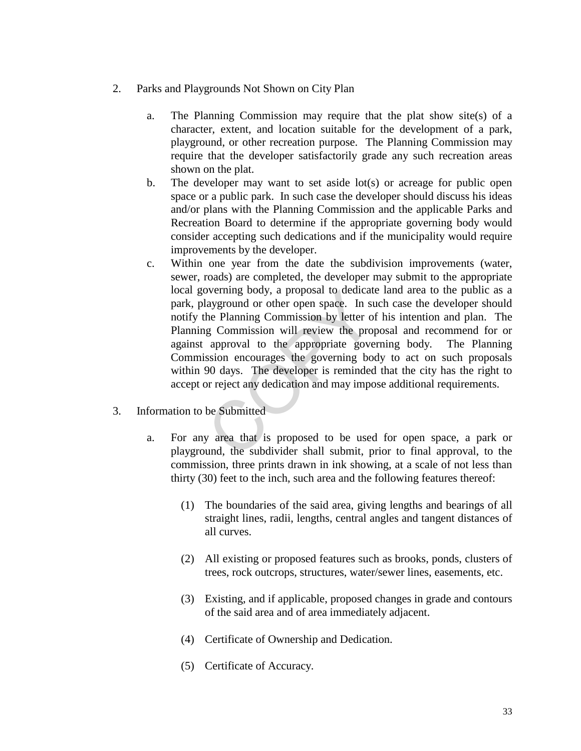- 2. Parks and Playgrounds Not Shown on City Plan
	- a. The Planning Commission may require that the plat show site(s) of a character, extent, and location suitable for the development of a park, playground, or other recreation purpose. The Planning Commission may require that the developer satisfactorily grade any such recreation areas shown on the plat.
	- b. The developer may want to set aside lot(s) or acreage for public open space or a public park. In such case the developer should discuss his ideas and/or plans with the Planning Commission and the applicable Parks and Recreation Board to determine if the appropriate governing body would consider accepting such dedications and if the municipality would require improvements by the developer.
	- c. Within one year from the date the subdivision improvements (water, sewer, roads) are completed, the developer may submit to the appropriate local governing body, a proposal to dedicate land area to the public as a park, playground or other open space. In such case the developer should notify the Planning Commission by letter of his intention and plan. The Planning Commission will review the proposal and recommend for or against approval to the appropriate governing body. The Planning Commission encourages the governing body to act on such proposals within 90 days. The developer is reminded that the city has the right to accept or reject any dedication and may impose additional requirements. by erning body, a proposal to dedicate ayground or other open space. In st<br>he Planning Commission by letter of<br>g Commission will review the prop<br>approval to the appropriate gove<br>ssion encourages the governing bo<br>90 days. T
- 3. Information to be Submitted
	- a. For any area that is proposed to be used for open space, a park or playground, the subdivider shall submit, prior to final approval, to the commission, three prints drawn in ink showing, at a scale of not less than thirty (30) feet to the inch, such area and the following features thereof:
		- (1) The boundaries of the said area, giving lengths and bearings of all straight lines, radii, lengths, central angles and tangent distances of all curves.
		- (2) All existing or proposed features such as brooks, ponds, clusters of trees, rock outcrops, structures, water/sewer lines, easements, etc.
		- (3) Existing, and if applicable, proposed changes in grade and contours of the said area and of area immediately adjacent.
		- (4) Certificate of Ownership and Dedication.
		- (5) Certificate of Accuracy.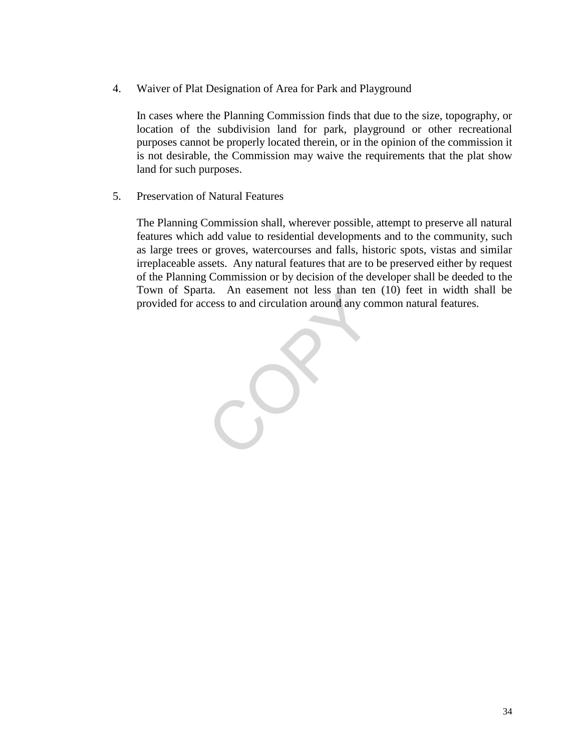4. Waiver of Plat Designation of Area for Park and Playground

In cases where the Planning Commission finds that due to the size, topography, or location of the subdivision land for park, playground or other recreational purposes cannot be properly located therein, or in the opinion of the commission it is not desirable, the Commission may waive the requirements that the plat show land for such purposes.

5. Preservation of Natural Features

The Planning Commission shall, wherever possible, attempt to preserve all natural features which add value to residential developments and to the community, such as large trees or groves, watercourses and falls, historic spots, vistas and similar irreplaceable assets. Any natural features that are to be preserved either by request of the Planning Commission or by decision of the developer shall be deeded to the Town of Sparta. An easement not less than ten (10) feet in width shall be provided for access to and circulation around any common natural features.

CO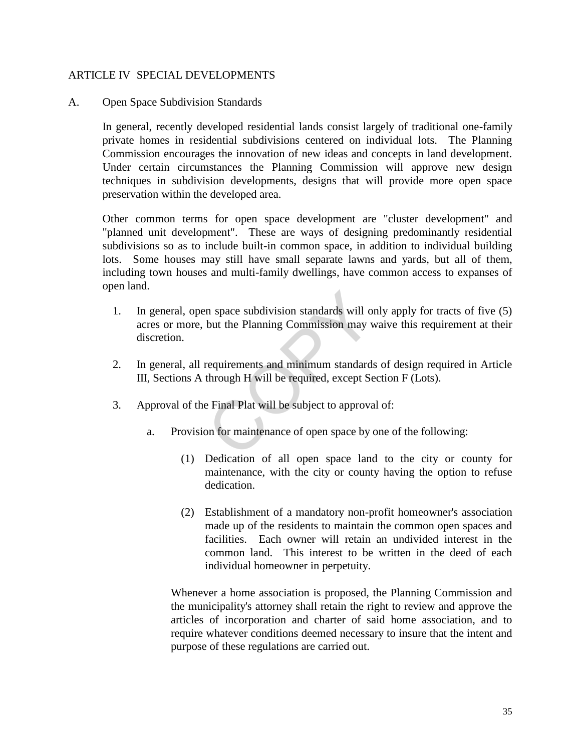## ARTICLE IV SPECIAL DEVELOPMENTS

## A. Open Space Subdivision Standards

In general, recently developed residential lands consist largely of traditional one-family private homes in residential subdivisions centered on individual lots. The Planning Commission encourages the innovation of new ideas and concepts in land development. Under certain circumstances the Planning Commission will approve new design techniques in subdivision developments, designs that will provide more open space preservation within the developed area.

Other common terms for open space development are "cluster development" and "planned unit development". These are ways of designing predominantly residential subdivisions so as to include built-in common space, in addition to individual building lots. Some houses may still have small separate lawns and yards, but all of them, including town houses and multi-family dwellings, have common access to expanses of open land.

- 1. In general, open space subdivision standards will only apply for tracts of five (5) acres or more, but the Planning Commission may waive this requirement at their discretion. n space subdivision standards will on<br>but the Planning Commission may v<br>requirements and minimum standards<br>through H will be required, except Se<br>e Final Plat will be subject to approva<br>on for maintenance of open space by o
- 2. In general, all requirements and minimum standards of design required in Article III, Sections A through H will be required, except Section F (Lots).
- 3. Approval of the Final Plat will be subject to approval of:
	- a. Provision for maintenance of open space by one of the following:
		- (1) Dedication of all open space land to the city or county for maintenance, with the city or county having the option to refuse dedication.
		- (2) Establishment of a mandatory non-profit homeowner's association made up of the residents to maintain the common open spaces and facilities. Each owner will retain an undivided interest in the common land. This interest to be written in the deed of each individual homeowner in perpetuity.

Whenever a home association is proposed, the Planning Commission and the municipality's attorney shall retain the right to review and approve the articles of incorporation and charter of said home association, and to require whatever conditions deemed necessary to insure that the intent and purpose of these regulations are carried out.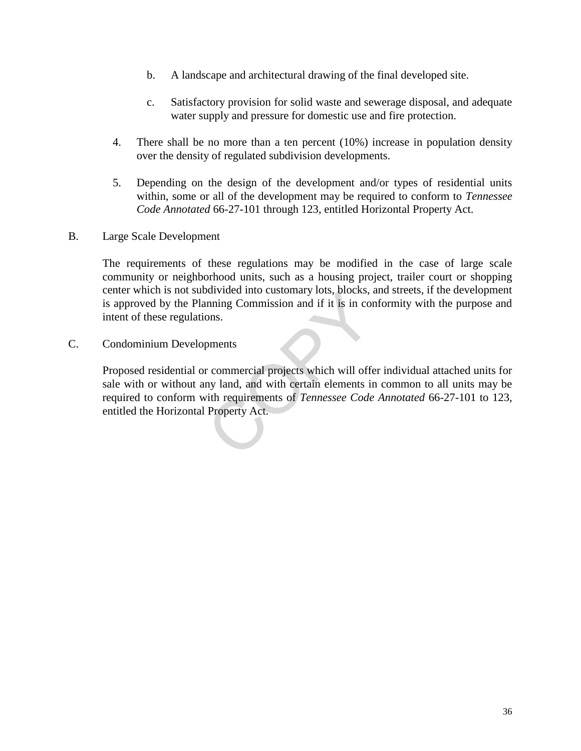- b. A landscape and architectural drawing of the final developed site.
- c. Satisfactory provision for solid waste and sewerage disposal, and adequate water supply and pressure for domestic use and fire protection.
- 4. There shall be no more than a ten percent (10%) increase in population density over the density of regulated subdivision developments.
- 5. Depending on the design of the development and/or types of residential units within, some or all of the development may be required to conform to *Tennessee Code Annotated* 66-27-101 through 123, entitled Horizontal Property Act.
- B. Large Scale Development

The requirements of these regulations may be modified in the case of large scale community or neighborhood units, such as a housing project, trailer court or shopping center which is not subdivided into customary lots, blocks, and streets, if the development is approved by the Planning Commission and if it is in conformity with the purpose and intent of these regulations.

C. Condominium Developments

Proposed residential or commercial projects which will offer individual attached units for sale with or without any land, and with certain elements in common to all units may be required to conform with requirements of *Tennessee Code Annotated* 66-27-101 to 123, entitled the Horizontal Property Act. Survided into customary los, blocks, a<br>nning Commission and if it is in cor<br>ons.<br>pments<br>r commercial projects which will offer<br>ny land, and with certain elements ir<br>ith requirements of *Tennessee Code*<br>Property Act.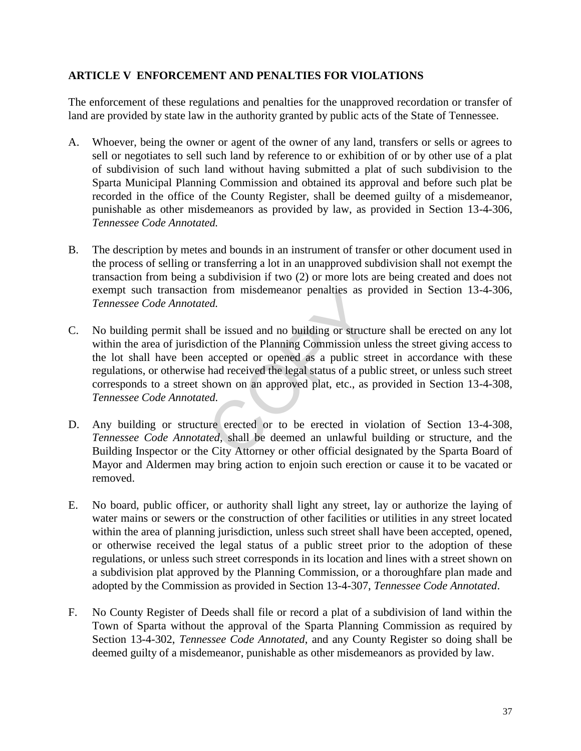## **ARTICLE V ENFORCEMENT AND PENALTIES FOR VIOLATIONS**

The enforcement of these regulations and penalties for the unapproved recordation or transfer of land are provided by state law in the authority granted by public acts of the State of Tennessee.

- A. Whoever, being the owner or agent of the owner of any land, transfers or sells or agrees to sell or negotiates to sell such land by reference to or exhibition of or by other use of a plat of subdivision of such land without having submitted a plat of such subdivision to the Sparta Municipal Planning Commission and obtained its approval and before such plat be recorded in the office of the County Register, shall be deemed guilty of a misdemeanor, punishable as other misdemeanors as provided by law, as provided in Section 13-4-306, *Tennessee Code Annotated.*
- B. The description by metes and bounds in an instrument of transfer or other document used in the process of selling or transferring a lot in an unapproved subdivision shall not exempt the transaction from being a subdivision if two (2) or more lots are being created and does not exempt such transaction from misdemeanor penalties as provided in Section 13-4-306, *Tennessee Code Annotated.*
- C. No building permit shall be issued and no building or structure shall be erected on any lot within the area of jurisdiction of the Planning Commission unless the street giving access to the lot shall have been accepted or opened as a public street in accordance with these regulations, or otherwise had received the legal status of a public street, or unless such street corresponds to a street shown on an approved plat, etc., as provided in Section 13-4-308, *Tennessee Code Annotated.* rom misdemeanor penalties as pi<br>ed.<br>let issued and no building or structure of the Planning Commission un<br>accepted or opened as a public str<br>had received the legal status of a pub<br>hown on an approved plat, etc., as p<br>ed.<br>u
- D. Any building or structure erected or to be erected in violation of Section 13-4-308, *Tennessee Code Annotated*, shall be deemed an unlawful building or structure, and the Building Inspector or the City Attorney or other official designated by the Sparta Board of Mayor and Aldermen may bring action to enjoin such erection or cause it to be vacated or removed.
- E. No board, public officer, or authority shall light any street, lay or authorize the laying of water mains or sewers or the construction of other facilities or utilities in any street located within the area of planning jurisdiction, unless such street shall have been accepted, opened, or otherwise received the legal status of a public street prior to the adoption of these regulations, or unless such street corresponds in its location and lines with a street shown on a subdivision plat approved by the Planning Commission, or a thoroughfare plan made and adopted by the Commission as provided in Section 13-4-307, *Tennessee Code Annotated*.
- F. No County Register of Deeds shall file or record a plat of a subdivision of land within the Town of Sparta without the approval of the Sparta Planning Commission as required by Section 13-4-302, *Tennessee Code Annotated*, and any County Register so doing shall be deemed guilty of a misdemeanor, punishable as other misdemeanors as provided by law.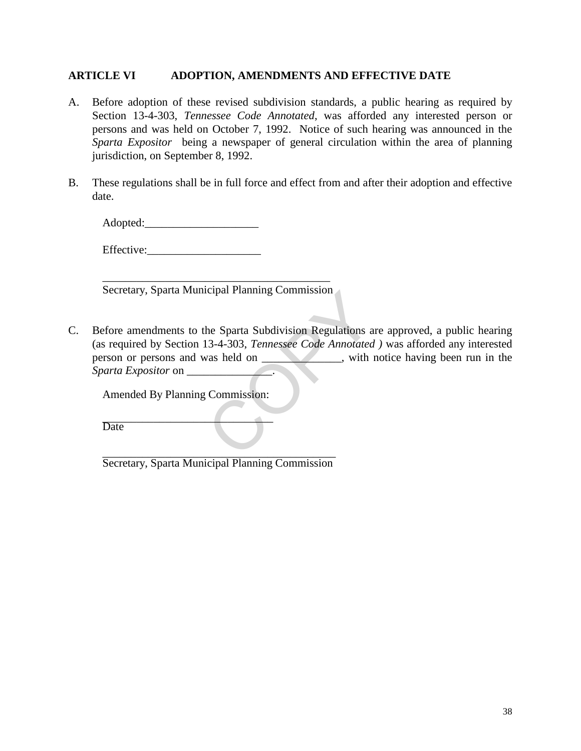## **ARTICLE VI ADOPTION, AMENDMENTS AND EFFECTIVE DATE**

- A. Before adoption of these revised subdivision standards, a public hearing as required by Section 13-4-303, *Tennessee Code Annotated*, was afforded any interested person or persons and was held on October 7, 1992. Notice of such hearing was announced in the *Sparta Expositor* being a newspaper of general circulation within the area of planning jurisdiction, on September 8, 1992.
- B. These regulations shall be in full force and effect from and after their adoption and effective date.

Adopted:\_\_\_\_\_\_\_\_\_\_\_\_\_\_\_\_\_\_\_\_

Effective:

\_\_\_\_\_\_\_\_\_\_\_\_\_\_\_\_\_\_\_\_\_\_\_\_\_\_\_\_\_\_\_\_\_\_\_\_\_\_\_\_ Secretary, Sparta Municipal Planning Commission

C. Before amendments to the Sparta Subdivision Regulations are approved, a public hearing (as required by Section 13-4-303, *Tennessee Code Annotated )* was afforded any interested person or persons and was held on \_\_\_\_\_\_\_\_\_, with notice having been run in the *Sparta Expositor* on \_\_\_\_\_\_\_\_\_\_\_\_\_\_\_. Commission<br>
he Sparta Subdivision Regulations a<br>
13-4-303, *Tennessee Code Annotated*<br>
vas held on \_\_\_\_\_\_\_\_\_\_\_\_\_, with i

Amended By Planning Commission:

*\_\_\_\_\_\_\_\_\_\_\_\_\_\_\_\_\_\_\_\_\_\_\_\_\_\_\_\_\_\_*  **Date** 

 $\overline{\phantom{a}}$  , where  $\overline{\phantom{a}}$  , where  $\overline{\phantom{a}}$  ,  $\overline{\phantom{a}}$  ,  $\overline{\phantom{a}}$  ,  $\overline{\phantom{a}}$  ,  $\overline{\phantom{a}}$  ,  $\overline{\phantom{a}}$  ,  $\overline{\phantom{a}}$  ,  $\overline{\phantom{a}}$  ,  $\overline{\phantom{a}}$  ,  $\overline{\phantom{a}}$  ,  $\overline{\phantom{a}}$  ,  $\overline{\phantom{a}}$  ,  $\overline{\phantom{a}}$  , Secretary, Sparta Municipal Planning Commission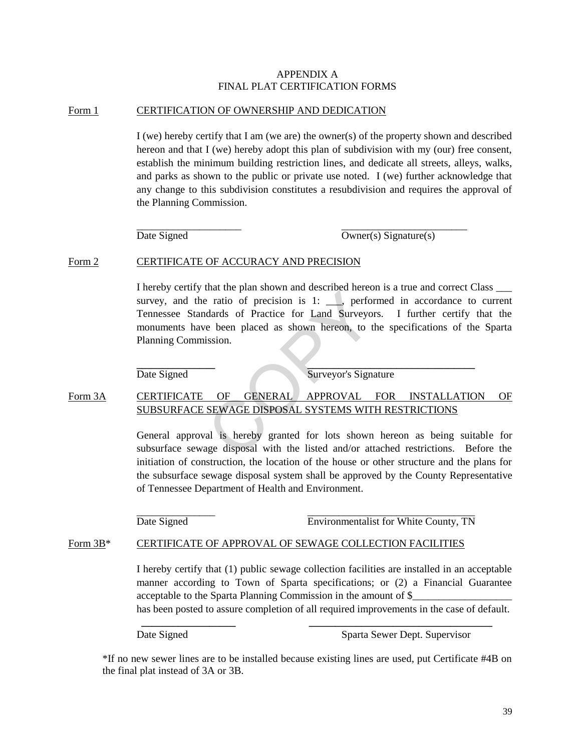#### APPENDIX A FINAL PLAT CERTIFICATION FORMS

#### Form 1 CERTIFICATION OF OWNERSHIP AND DEDICATION

I (we) hereby certify that I am (we are) the owner(s) of the property shown and described hereon and that I (we) hereby adopt this plan of subdivision with my (our) free consent, establish the minimum building restriction lines, and dedicate all streets, alleys, walks, and parks as shown to the public or private use noted. I (we) further acknowledge that any change to this subdivision constitutes a resubdivision and requires the approval of the Planning Commission.

 \_\_\_\_\_\_\_\_\_\_\_\_\_\_\_\_\_\_\_\_ \_\_\_\_\_\_\_\_\_\_\_\_\_\_\_\_\_\_\_\_\_\_\_\_  $\overline{\text{Date Signal}}$  Owner(s) Signature(s)

#### Form 2 CERTIFICATE OF ACCURACY AND PRECISION

I hereby certify that the plan shown and described hereon is a true and correct Class \_\_\_ survey, and the ratio of precision is  $1:$   $\Box$ , performed in accordance to current Tennessee Standards of Practice for Land Surveyors. I further certify that the monuments have been placed as shown hereon, to the specifications of the Sparta Planning Commission. COPY

 **\_\_\_\_\_\_\_\_\_\_\_\_\_\_\_ \_\_\_\_\_\_\_\_\_\_\_\_\_\_\_\_\_\_\_\_\_\_\_\_\_\_\_\_\_\_\_\_** 

Date Signed Surveyor's Signature

## Form 3A CERTIFICATE OF GENERAL APPROVAL FOR INSTALLATION OF SUBSURFACE SEWAGE DISPOSAL SYSTEMS WITH RESTRICTIONS

General approval is hereby granted for lots shown hereon as being suitable for subsurface sewage disposal with the listed and/or attached restrictions. Before the initiation of construction, the location of the house or other structure and the plans for the subsurface sewage disposal system shall be approved by the County Representative of Tennessee Department of Health and Environment.

 $\overline{\phantom{a}}$  ,  $\overline{\phantom{a}}$  ,  $\overline{\phantom{a}}$  ,  $\overline{\phantom{a}}$  ,  $\overline{\phantom{a}}$  ,  $\overline{\phantom{a}}$  ,  $\overline{\phantom{a}}$  ,  $\overline{\phantom{a}}$  ,  $\overline{\phantom{a}}$  ,  $\overline{\phantom{a}}$  ,  $\overline{\phantom{a}}$  ,  $\overline{\phantom{a}}$  ,  $\overline{\phantom{a}}$  ,  $\overline{\phantom{a}}$  ,  $\overline{\phantom{a}}$  ,  $\overline{\phantom{a}}$ Date Signed Environmentalist for White County, TN

#### Form 3B\* CERTIFICATE OF APPROVAL OF SEWAGE COLLECTION FACILITIES

I hereby certify that (1) public sewage collection facilities are installed in an acceptable manner according to Town of Sparta specifications; or (2) a Financial Guarantee acceptable to the Sparta Planning Commission in the amount of \$ has been posted to assure completion of all required improvements in the case of default.

Date Signed Sparta Sewer Dept. Supervisor

\*If no new sewer lines are to be installed because existing lines are used, put Certificate #4B on the final plat instead of 3A or 3B.

 **\_\_\_\_\_\_\_\_\_\_\_\_\_\_\_\_\_\_ \_\_\_\_\_\_\_\_\_\_\_\_\_\_\_\_\_\_\_\_\_\_\_\_\_\_\_\_\_\_\_\_\_\_\_**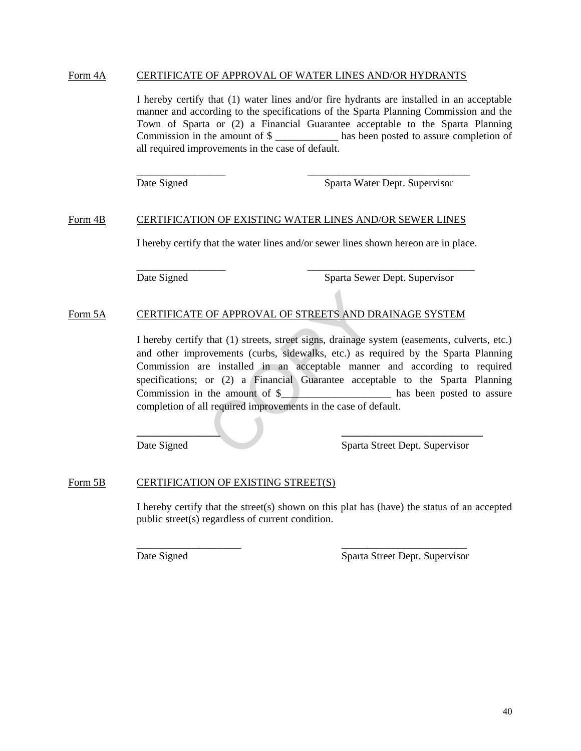#### Form 4A CERTIFICATE OF APPROVAL OF WATER LINES AND/OR HYDRANTS

I hereby certify that (1) water lines and/or fire hydrants are installed in an acceptable manner and according to the specifications of the Sparta Planning Commission and the Town of Sparta or (2) a Financial Guarantee acceptable to the Sparta Planning Commission in the amount of  $\frac{1}{2}$  has been posted to assure completion of all required improvements in the case of default.

 $\overline{\phantom{a}}$  ,  $\overline{\phantom{a}}$  ,  $\overline{\phantom{a}}$  ,  $\overline{\phantom{a}}$  ,  $\overline{\phantom{a}}$  ,  $\overline{\phantom{a}}$  ,  $\overline{\phantom{a}}$  ,  $\overline{\phantom{a}}$  ,  $\overline{\phantom{a}}$  ,  $\overline{\phantom{a}}$  ,  $\overline{\phantom{a}}$  ,  $\overline{\phantom{a}}$  ,  $\overline{\phantom{a}}$  ,  $\overline{\phantom{a}}$  ,  $\overline{\phantom{a}}$  ,  $\overline{\phantom{a}}$ 

Date Signed Sparta Water Dept. Supervisor

#### Form 4B CERTIFICATION OF EXISTING WATER LINES AND/OR SEWER LINES

I hereby certify that the water lines and/or sewer lines shown hereon are in place.

 $\frac{1}{\sqrt{2}}$  ,  $\frac{1}{\sqrt{2}}$  ,  $\frac{1}{\sqrt{2}}$  ,  $\frac{1}{\sqrt{2}}$  ,  $\frac{1}{\sqrt{2}}$  ,  $\frac{1}{\sqrt{2}}$  ,  $\frac{1}{\sqrt{2}}$  ,  $\frac{1}{\sqrt{2}}$  ,  $\frac{1}{\sqrt{2}}$  ,  $\frac{1}{\sqrt{2}}$  ,  $\frac{1}{\sqrt{2}}$  ,  $\frac{1}{\sqrt{2}}$  ,  $\frac{1}{\sqrt{2}}$  ,  $\frac{1}{\sqrt{2}}$  ,  $\frac{1}{\sqrt{2}}$ 

Date Signed Sparta Sewer Dept. Supervisor

#### Form 5A CERTIFICATE OF APPROVAL OF STREETS AND DRAINAGE SYSTEM

I hereby certify that (1) streets, street signs, drainage system (easements, culverts, etc.) and other improvements (curbs, sidewalks, etc.) as required by the Sparta Planning Commission are installed in an acceptable manner and according to required specifications; or (2) a Financial Guarantee acceptable to the Sparta Planning Commission in the amount of \$\_\_\_\_\_\_\_\_\_\_\_\_\_\_\_\_\_\_\_\_\_\_ has been posted to assure completion of all required improvements in the case of default. OF APPROVAL OF STREETS AND D<br>that (1) streets, street signs, drainage sy<br>ovements (curbs, sidewalks, etc.) as re<br>e installed in an acceptable manne<br>or (2) a Financial Guarantee accep<br>the amount of \$<br>l required improvements

 **\_\_\_\_\_\_\_\_\_\_\_\_\_\_\_\_ \_\_\_\_\_\_\_\_\_\_\_\_\_\_\_\_\_\_\_\_\_\_\_\_\_\_\_** 

Date Signed Sparta Street Dept. Supervisor

#### Form 5B CERTIFICATION OF EXISTING STREET(S)

I hereby certify that the street(s) shown on this plat has (have) the status of an accepted public street(s) regardless of current condition.

\_\_\_\_\_\_\_\_\_\_\_\_\_\_\_\_\_\_\_\_ \_\_\_\_\_\_\_\_\_\_\_\_\_\_\_\_\_\_\_\_\_\_\_\_

Date Signed Sparta Street Dept. Supervisor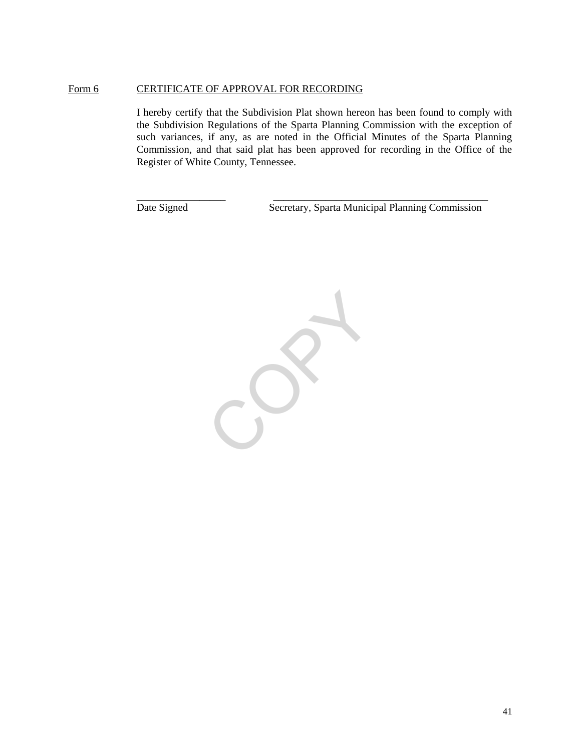#### Form 6 CERTIFICATE OF APPROVAL FOR RECORDING

I hereby certify that the Subdivision Plat shown hereon has been found to comply with the Subdivision Regulations of the Sparta Planning Commission with the exception of such variances, if any, as are noted in the Official Minutes of the Sparta Planning Commission, and that said plat has been approved for recording in the Office of the Register of White County, Tennessee.

\_\_\_\_\_\_\_\_\_\_\_\_\_\_\_\_\_ \_\_\_\_\_\_\_\_\_\_\_\_\_\_\_\_\_\_\_\_\_\_\_\_\_\_\_\_\_\_\_\_\_\_\_\_\_\_\_\_\_

Date Signed Secretary, Sparta Municipal Planning Commission

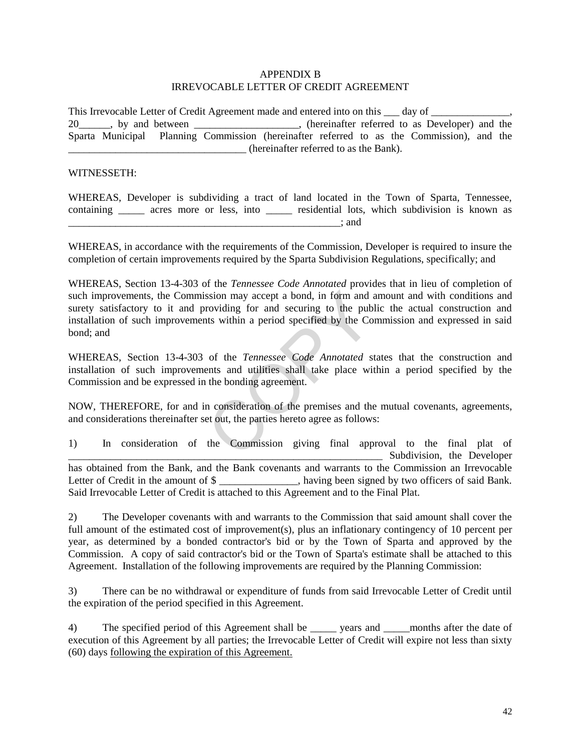#### APPENDIX B IRREVOCABLE LETTER OF CREDIT AGREEMENT

This Irrevocable Letter of Credit Agreement made and entered into on this  $\Box$  day of  $\Box$ 20\_\_\_\_\_, by and between \_\_\_\_\_\_\_\_\_\_\_\_\_\_\_\_\_, (hereinafter referred to as Developer) and the Sparta Municipal Planning Commission (hereinafter referred to as the Commission), and the \_\_\_\_\_\_\_\_\_\_\_\_\_\_\_\_\_\_\_\_\_\_\_\_\_\_\_\_\_\_\_\_\_\_ (hereinafter referred to as the Bank).

#### WITNESSETH:

WHEREAS, Developer is subdividing a tract of land located in the Town of Sparta, Tennessee, containing \_\_\_\_\_\_ acres more or less, into \_\_\_\_\_\_ residential lots, which subdivision is known as \_\_\_\_\_\_\_\_\_\_\_\_\_\_\_\_\_\_\_\_\_\_\_\_\_\_\_\_\_\_\_\_\_\_\_\_\_\_\_\_\_\_\_\_\_\_\_\_\_\_\_\_; and

WHEREAS, in accordance with the requirements of the Commission, Developer is required to insure the completion of certain improvements required by the Sparta Subdivision Regulations, specifically; and

WHEREAS, Section 13-4-303 of the *Tennessee Code Annotated* provides that in lieu of completion of such improvements, the Commission may accept a bond, in form and amount and with conditions and surety satisfactory to it and providing for and securing to the public the actual construction and installation of such improvements within a period specified by the Commission and expressed in said bond; and Solid may accept a bond, in form and a<br>roviding for and securing to the publis<br>tis within a period specified by the Co<br>of the *Tennessee Code Annotated* si<br>ents and utilities shall take place wit<br>the bonding agreement.<br>n c

WHEREAS, Section 13-4-303 of the *Tennessee Code Annotated* states that the construction and installation of such improvements and utilities shall take place within a period specified by the Commission and be expressed in the bonding agreement.

NOW, THEREFORE, for and in consideration of the premises and the mutual covenants, agreements, and considerations thereinafter set out, the parties hereto agree as follows:

1) In consideration of the Commission giving final approval to the final plat of \_\_\_\_\_\_\_\_\_\_\_\_\_\_\_\_\_\_\_\_\_\_\_\_\_\_\_\_\_\_\_\_\_\_\_\_\_\_\_\_\_\_\_\_\_\_\_\_\_\_\_\_\_\_\_\_\_\_\_\_ Subdivision, the Developer has obtained from the Bank, and the Bank covenants and warrants to the Commission an Irrevocable Letter of Credit in the amount of  $\frac{1}{2}$  \_\_\_\_\_\_\_\_\_\_, having been signed by two officers of said Bank. Said Irrevocable Letter of Credit is attached to this Agreement and to the Final Plat.

2) The Developer covenants with and warrants to the Commission that said amount shall cover the full amount of the estimated cost of improvement(s), plus an inflationary contingency of 10 percent per year, as determined by a bonded contractor's bid or by the Town of Sparta and approved by the Commission. A copy of said contractor's bid or the Town of Sparta's estimate shall be attached to this Agreement. Installation of the following improvements are required by the Planning Commission:

3) There can be no withdrawal or expenditure of funds from said Irrevocable Letter of Credit until the expiration of the period specified in this Agreement.

4) The specified period of this Agreement shall be vears and months after the date of execution of this Agreement by all parties; the Irrevocable Letter of Credit will expire not less than sixty (60) days following the expiration of this Agreement.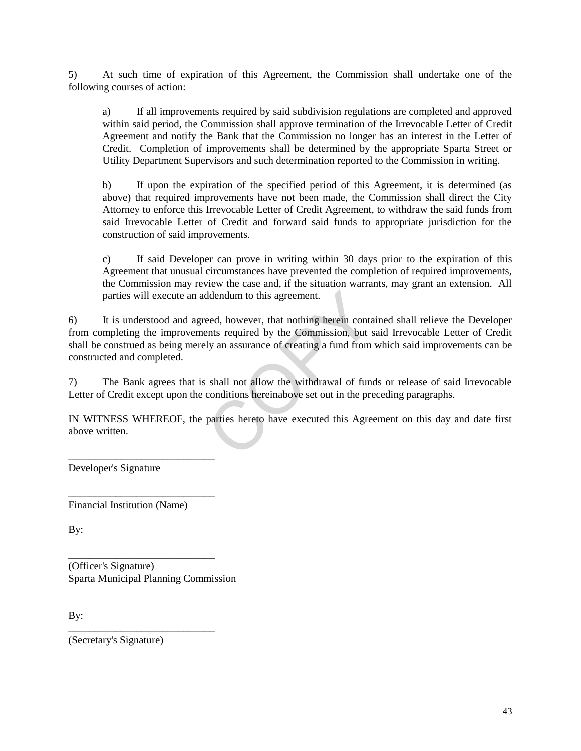5) At such time of expiration of this Agreement, the Commission shall undertake one of the following courses of action:

a) If all improvements required by said subdivision regulations are completed and approved within said period, the Commission shall approve termination of the Irrevocable Letter of Credit Agreement and notify the Bank that the Commission no longer has an interest in the Letter of Credit. Completion of improvements shall be determined by the appropriate Sparta Street or Utility Department Supervisors and such determination reported to the Commission in writing.

b) If upon the expiration of the specified period of this Agreement, it is determined (as above) that required improvements have not been made, the Commission shall direct the City Attorney to enforce this Irrevocable Letter of Credit Agreement, to withdraw the said funds from said Irrevocable Letter of Credit and forward said funds to appropriate jurisdiction for the construction of said improvements.

c) If said Developer can prove in writing within 30 days prior to the expiration of this Agreement that unusual circumstances have prevented the completion of required improvements, the Commission may review the case and, if the situation warrants, may grant an extension. All parties will execute an addendum to this agreement.

6) It is understood and agreed, however, that nothing herein contained shall relieve the Developer from completing the improvements required by the Commission, but said Irrevocable Letter of Credit shall be construed as being merely an assurance of creating a fund from which said improvements can be constructed and completed. ddendum to this agreement.<br>
eed, however, that nothing herein conta<br>
ents required by the Commission, but s<br>
ly an assurance of creating a fund from<br>
shall not allow the withdrawal of fund<br>
conditions hereinabove set out i

7) The Bank agrees that is shall not allow the withdrawal of funds or release of said Irrevocable Letter of Credit except upon the conditions hereinabove set out in the preceding paragraphs.

IN WITNESS WHEREOF, the parties hereto have executed this Agreement on this day and date first above written.

Developer's Signature

Financial Institution (Name)

\_\_\_\_\_\_\_\_\_\_\_\_\_\_\_\_\_\_\_\_\_\_\_\_\_\_\_\_

\_\_\_\_\_\_\_\_\_\_\_\_\_\_\_\_\_\_\_\_\_\_\_\_\_\_\_\_

\_\_\_\_\_\_\_\_\_\_\_\_\_\_\_\_\_\_\_\_\_\_\_\_\_\_\_\_

\_\_\_\_\_\_\_\_\_\_\_\_\_\_\_\_\_\_\_\_\_\_\_\_\_\_\_\_

By:

(Officer's Signature) Sparta Municipal Planning Commission

By:

(Secretary's Signature)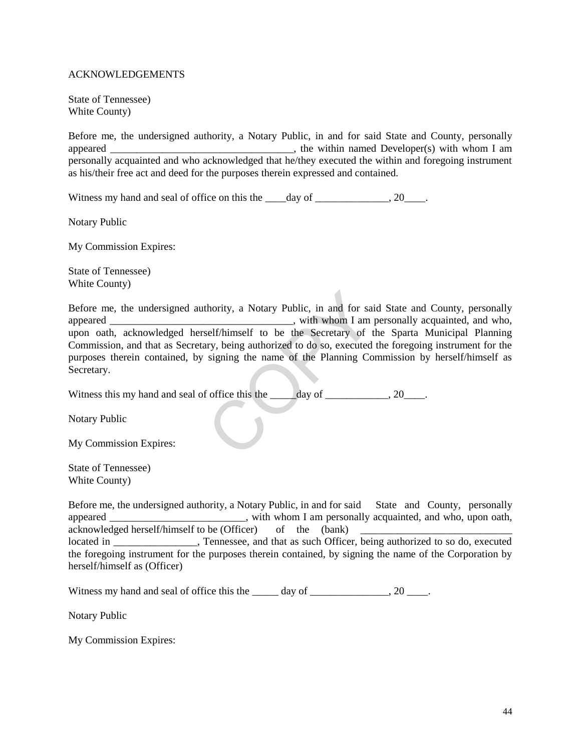#### ACKNOWLEDGEMENTS

State of Tennessee) White County)

Before me, the undersigned authority, a Notary Public, in and for said State and County, personally appeared and the within named Developer(s) with whom I am personally acquainted and who acknowledged that he/they executed the within and foregoing instrument as his/their free act and deed for the purposes therein expressed and contained.

Witness my hand and seal of office on this the  $\_\_\_day$  of  $\_\_\_\_\_\_\_\_\_$ . 20 $\_\_\_\_\_\$ .

Notary Public

My Commission Expires:

State of Tennessee) White County)

Before me, the undersigned authority, a Notary Public, in and for said State and County, personally appeared \_\_\_\_\_\_\_\_\_\_\_\_\_\_\_\_\_\_\_\_\_\_\_\_\_\_\_\_\_\_\_\_, with whom I am personally acquainted, and who, upon oath, acknowledged herself/himself to be the Secretary of the Sparta Municipal Planning Commission, and that as Secretary, being authorized to do so, executed the foregoing instrument for the purposes therein contained, by signing the name of the Planning Commission by herself/himself as Secretary. thority, a Notary Public, in and for saim<br>
with whom I am<br>
with whom I am<br>
with whom I am<br>
with whom I am<br>
with whom I am<br>
with whom I am<br>
self/himself to be the Secretary of the<br>
signing the name of the Planning Co<br>
coffi

Witness this my hand and seal of office this the \_\_\_\_\_day of \_\_\_\_\_\_\_\_\_, 20\_\_\_\_.

Notary Public

My Commission Expires:

State of Tennessee) White County)

Before me, the undersigned authority, a Notary Public, in and for said State and County, personally appeared  $\ddot{\text{a}}$ , with whom I am personally acquainted, and who, upon oath, acknowledged herself/himself to be (Officer) of the (bank) located in \_\_\_\_\_\_\_\_\_\_\_\_, Tennessee, and that as such Officer, being authorized to so do, executed the foregoing instrument for the purposes therein contained, by signing the name of the Corporation by herself/himself as (Officer)

Witness my hand and seal of office this the \_\_\_\_\_ day of \_\_\_\_\_\_\_\_\_\_\_\_, 20 \_\_\_\_.

Notary Public

My Commission Expires: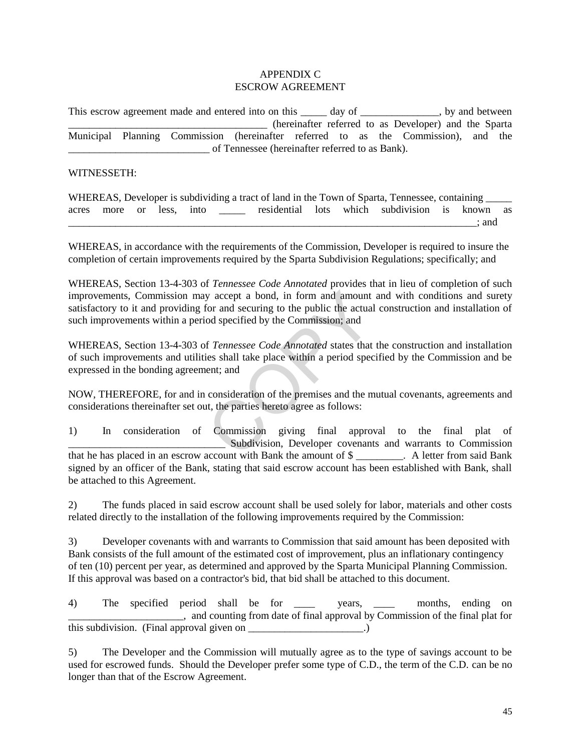#### APPENDIX C ESCROW AGREEMENT

This escrow agreement made and entered into on this day of here is no between by and between \_\_\_\_\_\_\_\_\_\_\_\_\_\_\_\_\_\_\_\_\_\_\_\_\_\_\_\_\_\_\_\_\_\_\_\_\_\_ (hereinafter referred to as Developer) and the Sparta Municipal Planning Commission (hereinafter referred to as the Commission), and the \_\_\_\_\_\_\_\_\_\_\_\_\_\_\_\_\_\_\_\_\_\_\_\_\_\_\_ of Tennessee (hereinafter referred to as Bank).

#### WITNESSETH:

|       |                    |  |  |  | WHEREAS, Developer is subdividing a tract of land in the Town of Sparta, Tennessee, containing _____ |       |  |
|-------|--------------------|--|--|--|------------------------------------------------------------------------------------------------------|-------|--|
| acres | more or less, into |  |  |  | residential lots which subdivision is known as                                                       |       |  |
|       |                    |  |  |  |                                                                                                      | : and |  |

WHEREAS, in accordance with the requirements of the Commission, Developer is required to insure the completion of certain improvements required by the Sparta Subdivision Regulations; specifically; and

WHEREAS, Section 13-4-303 of *Tennessee Code Annotated* provides that in lieu of completion of such improvements, Commission may accept a bond, in form and amount and with conditions and surety satisfactory to it and providing for and securing to the public the actual construction and installation of such improvements within a period specified by the Commission; and y accept a bond, in form and amount<br>for and securing to the public the actual<br>od specified by the Commission; and<br>f *Tennessee Code Annotated* states that<br>ies shall take place within a period spec<br>ent; and<br>consideration of

WHEREAS, Section 13-4-303 of *Tennessee Code Annotated* states that the construction and installation of such improvements and utilities shall take place within a period specified by the Commission and be expressed in the bonding agreement; and

NOW, THEREFORE, for and in consideration of the premises and the mutual covenants, agreements and considerations thereinafter set out, the parties hereto agree as follows:

1) In consideration of Commission giving final approval to the final plat of Subdivision, Developer covenants and warrants to Commission that he has placed in an escrow account with Bank the amount of \$ \_\_\_\_\_\_\_\_\_. A letter from said Bank signed by an officer of the Bank, stating that said escrow account has been established with Bank, shall be attached to this Agreement.

2) The funds placed in said escrow account shall be used solely for labor, materials and other costs related directly to the installation of the following improvements required by the Commission:

3) Developer covenants with and warrants to Commission that said amount has been deposited with Bank consists of the full amount of the estimated cost of improvement, plus an inflationary contingency of ten (10) percent per year, as determined and approved by the Sparta Municipal Planning Commission. If this approval was based on a contractor's bid, that bid shall be attached to this document.

4) The specified period shall be for vears, months, ending on \_\_\_\_\_\_\_\_\_\_\_\_\_\_\_\_\_\_\_\_\_\_, and counting from date of final approval by Commission of the final plat for this subdivision. (Final approval given on  $\qquad \qquad$ .)

5) The Developer and the Commission will mutually agree as to the type of savings account to be used for escrowed funds. Should the Developer prefer some type of C.D., the term of the C.D. can be no longer than that of the Escrow Agreement.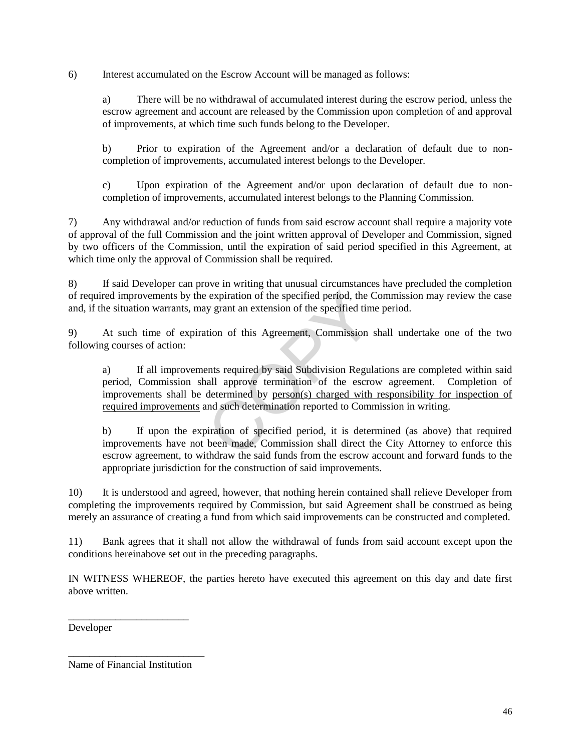6) Interest accumulated on the Escrow Account will be managed as follows:

a) There will be no withdrawal of accumulated interest during the escrow period, unless the escrow agreement and account are released by the Commission upon completion of and approval of improvements, at which time such funds belong to the Developer.

b) Prior to expiration of the Agreement and/or a declaration of default due to noncompletion of improvements, accumulated interest belongs to the Developer.

c) Upon expiration of the Agreement and/or upon declaration of default due to noncompletion of improvements, accumulated interest belongs to the Planning Commission.

7) Any withdrawal and/or reduction of funds from said escrow account shall require a majority vote of approval of the full Commission and the joint written approval of Developer and Commission, signed by two officers of the Commission, until the expiration of said period specified in this Agreement, at which time only the approval of Commission shall be required.

8) If said Developer can prove in writing that unusual circumstances have precluded the completion of required improvements by the expiration of the specified period, the Commission may review the case and, if the situation warrants, may grant an extension of the specified time period.

9) At such time of expiration of this Agreement, Commission shall undertake one of the two following courses of action:

a) If all improvements required by said Subdivision Regulations are completed within said period, Commission shall approve termination of the escrow agreement. Completion of improvements shall be determined by person(s) charged with responsibility for inspection of required improvements and such determination reported to Commission in writing. expiration of the specified period, the C<br>y grant an extension of the specified tim<br>tion of this Agreement, Commission s<br>ents required by said Subdivision Regul<br>all approve termination of the escro<br>determined by <u>person(s)</u>

b) If upon the expiration of specified period, it is determined (as above) that required improvements have not been made, Commission shall direct the City Attorney to enforce this escrow agreement, to withdraw the said funds from the escrow account and forward funds to the appropriate jurisdiction for the construction of said improvements.

10) It is understood and agreed, however, that nothing herein contained shall relieve Developer from completing the improvements required by Commission, but said Agreement shall be construed as being merely an assurance of creating a fund from which said improvements can be constructed and completed.

11) Bank agrees that it shall not allow the withdrawal of funds from said account except upon the conditions hereinabove set out in the preceding paragraphs.

IN WITNESS WHEREOF, the parties hereto have executed this agreement on this day and date first above written.

Developer

Name of Financial Institution

\_\_\_\_\_\_\_\_\_\_\_\_\_\_\_\_\_\_\_\_\_\_\_\_\_\_

\_\_\_\_\_\_\_\_\_\_\_\_\_\_\_\_\_\_\_\_\_\_\_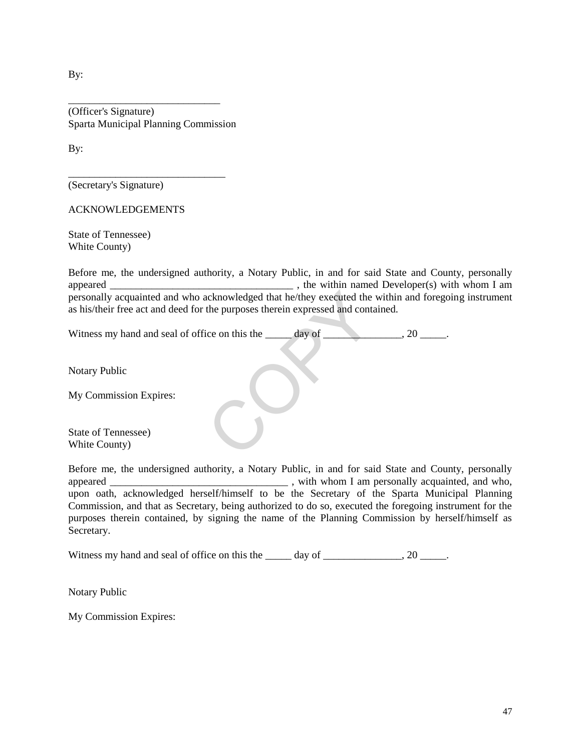By:

(Officer's Signature) Sparta Municipal Planning Commission

\_\_\_\_\_\_\_\_\_\_\_\_\_\_\_\_\_\_\_\_\_\_\_\_\_\_\_\_\_\_

\_\_\_\_\_\_\_\_\_\_\_\_\_\_\_\_\_\_\_\_\_\_\_\_\_\_\_\_\_

By:

(Secretary's Signature)

ACKNOWLEDGEMENTS

State of Tennessee) White County)

Before me, the undersigned authority, a Notary Public, in and for said State and County, personally appeared \_\_\_\_\_\_\_\_\_\_\_\_\_\_\_\_\_\_\_\_\_\_\_\_\_\_\_\_\_\_\_\_\_\_\_ , the within named Developer(s) with whom I am personally acquainted and who acknowledged that he/they executed the within and foregoing instrument as his/their free act and deed for the purposes therein expressed and contained.

| personally acquainted and who acknowledged that he/they executed the within and foregoi<br>as his/their free act and deed for the purposes therein expressed and contained. |
|-----------------------------------------------------------------------------------------------------------------------------------------------------------------------------|
| Witness my hand and seal of office on this the<br>day of<br>.20                                                                                                             |
| Notary Public                                                                                                                                                               |
| My Commission Expires:                                                                                                                                                      |
| State of Tennessee)<br>White County)                                                                                                                                        |

Before me, the undersigned authority, a Notary Public, in and for said State and County, personally appeared \_\_\_\_\_\_\_\_\_\_\_\_\_\_\_\_\_\_\_\_\_\_\_\_\_\_\_\_\_\_\_\_\_\_ , with whom I am personally acquainted, and who, upon oath, acknowledged herself/himself to be the Secretary of the Sparta Municipal Planning Commission, and that as Secretary, being authorized to do so, executed the foregoing instrument for the purposes therein contained, by signing the name of the Planning Commission by herself/himself as Secretary.

Witness my hand and seal of office on this the \_\_\_\_\_ day of \_\_\_\_\_\_\_\_\_\_\_\_, 20 \_\_\_\_.

Notary Public

My Commission Expires: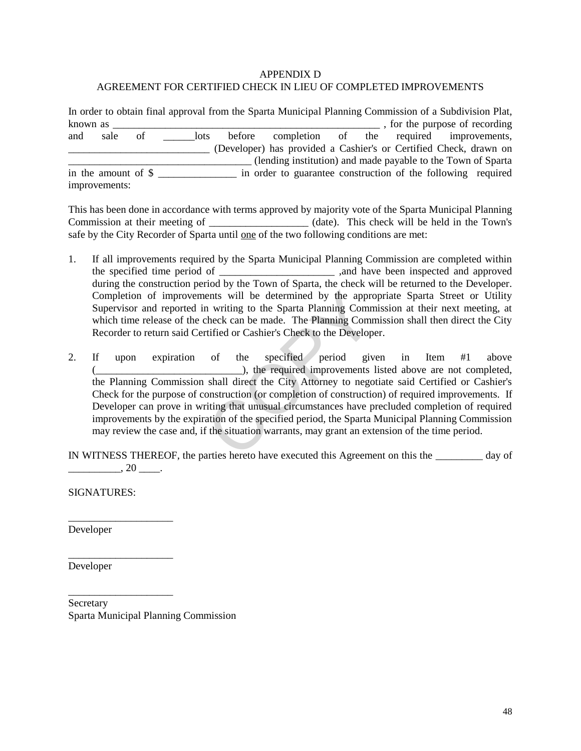## APPENDIX D AGREEMENT FOR CERTIFIED CHECK IN LIEU OF COMPLETED IMPROVEMENTS

In order to obtain final approval from the Sparta Municipal Planning Commission of a Subdivision Plat, known as \_\_\_\_\_\_\_\_\_\_\_\_\_\_\_\_\_\_\_\_\_\_\_\_\_\_\_\_\_\_\_\_\_\_\_\_\_\_\_\_\_\_\_\_\_\_\_\_\_\_\_ , for the purpose of recording and sale of lots before completion of the required improvements, \_\_\_\_\_\_\_\_\_\_\_\_\_\_\_\_\_\_\_\_\_\_\_\_\_\_\_ (Developer) has provided a Cashier's or Certified Check, drawn on \_\_\_\_\_\_\_\_\_\_\_\_\_\_\_\_\_\_\_\_\_\_\_\_\_\_\_\_\_\_\_\_\_\_\_ (lending institution) and made payable to the Town of Sparta in the amount of \$ in order to guarantee construction of the following required improvements:

This has been done in accordance with terms approved by majority vote of the Sparta Municipal Planning Commission at their meeting of \_\_\_\_\_\_\_\_\_\_\_\_\_\_\_\_\_\_\_ (date). This check will be held in the Town's safe by the City Recorder of Sparta until one of the two following conditions are met:

- 1. If all improvements required by the Sparta Municipal Planning Commission are completed within the specified time period of \_\_\_\_\_\_\_\_\_\_\_\_\_\_\_\_\_\_\_\_\_\_ ,and have been inspected and approved during the construction period by the Town of Sparta, the check will be returned to the Developer. Completion of improvements will be determined by the appropriate Sparta Street or Utility Supervisor and reported in writing to the Sparta Planning Commission at their next meeting, at which time release of the check can be made. The Planning Commission shall then direct the City Recorder to return said Certified or Cashier's Check to the Developer.
- 2. If upon expiration of the specified period given in Item #1 above ), the required improvements listed above are not completed, the Planning Commission shall direct the City Attorney to negotiate said Certified or Cashier's Check for the purpose of construction (or completion of construction) of required improvements. If Developer can prove in writing that unusual circumstances have precluded completion of required improvements by the expiration of the specified period, the Sparta Municipal Planning Commission may review the case and, if the situation warrants, may grant an extension of the time period. ents will be determined by the appronuments will be determined by the appronument of the Sparta Planning Communicative Constant in the Space of the Specified period giv the specified period giv the required improvements sh

IN WITNESS THEREOF, the parties hereto have executed this Agreement on this the \_\_\_\_\_\_\_\_\_ day of  $\frac{1}{20}$ , 20  $\frac{1}{20}$ .

SIGNATURES:

\_\_\_\_\_\_\_\_\_\_\_\_\_\_\_\_\_\_\_\_

\_\_\_\_\_\_\_\_\_\_\_\_\_\_\_\_\_\_\_\_

\_\_\_\_\_\_\_\_\_\_\_\_\_\_\_\_\_\_\_\_

Developer

Developer

Secretary Sparta Municipal Planning Commission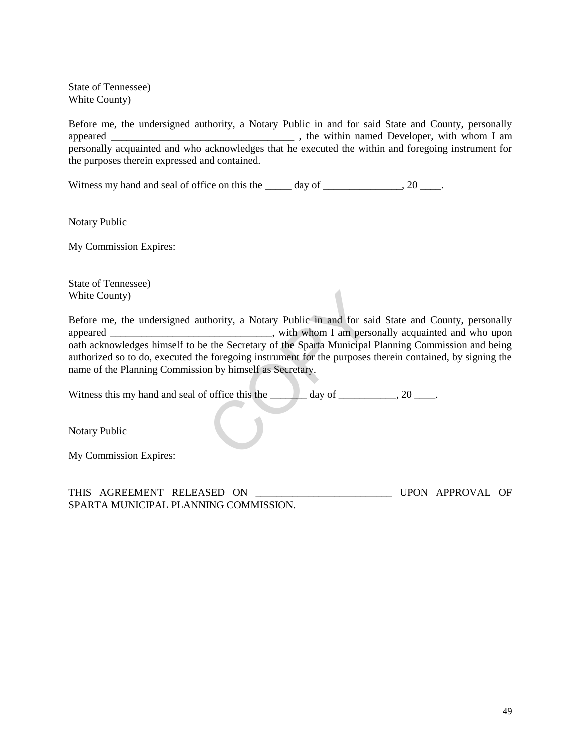State of Tennessee) White County)

Before me, the undersigned authority, a Notary Public in and for said State and County, personally appeared \_\_\_\_\_\_\_\_\_\_\_\_\_\_\_\_\_\_\_\_\_\_\_\_\_\_\_\_\_\_\_\_\_\_\_ , the within named Developer, with whom I am personally acquainted and who acknowledges that he executed the within and foregoing instrument for the purposes therein expressed and contained.

Witness my hand and seal of office on this the  $\qquad \qquad$  day of  $\qquad \qquad$ , 20  $\qquad$ .

Notary Public

My Commission Expires:

State of Tennessee) White County)

Before me, the undersigned authority, a Notary Public in and for said State and County, personally appeared \_\_\_\_\_\_\_\_\_\_\_\_\_\_\_\_\_\_\_\_\_\_\_\_\_\_\_\_\_\_, with whom I am personally acquainted and who upon oath acknowledges himself to be the Secretary of the Sparta Municipal Planning Commission and being authorized so to do, executed the foregoing instrument for the purposes therein contained, by signing the name of the Planning Commission by himself as Secretary. thority, a Notary Public in and for sai<br>
yith whom I am person<br>
e the Secretary of the Sparta Municipal<br>
e foregoing instrument for the purposes<br>
on by himself as Secretary.<br>
Foffice this the day of day of

Witness this my hand and seal of office this the  $\_\_\_\_\_\$  day of  $\_\_\_\_\_\_$ , 20  $\_\_\_\_\$ .

Notary Public

My Commission Expires:

| THIS AGREEMENT RELEASED ON            |  |  | UPON APPROVAL OF |  |
|---------------------------------------|--|--|------------------|--|
| SPARTA MUNICIPAL PLANNING COMMISSION. |  |  |                  |  |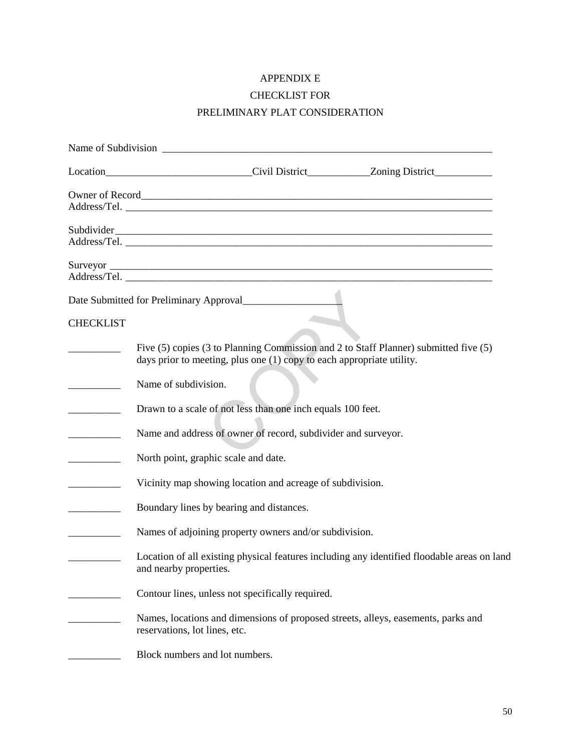# APPENDIX E

## CHECKLIST FOR

# PRELIMINARY PLAT CONSIDERATION

|                                                                     | Location_______________________________Civil District____________Zoning District___________________                                                           |
|---------------------------------------------------------------------|---------------------------------------------------------------------------------------------------------------------------------------------------------------|
|                                                                     |                                                                                                                                                               |
|                                                                     |                                                                                                                                                               |
|                                                                     |                                                                                                                                                               |
|                                                                     |                                                                                                                                                               |
| <b>CHECKLIST</b>                                                    |                                                                                                                                                               |
| _____________                                                       | Five (5) copies (3 to Planning Commission and 2 to Staff Planner) submitted five (5)<br>days prior to meeting, plus one (1) copy to each appropriate utility. |
|                                                                     | Name of subdivision.                                                                                                                                          |
| $\overline{\phantom{a}}$                                            | Drawn to a scale of not less than one inch equals 100 feet.                                                                                                   |
|                                                                     | Name and address of owner of record, subdivider and surveyor.                                                                                                 |
| $\overline{\phantom{a}}$ . The contract of $\overline{\phantom{a}}$ | North point, graphic scale and date.                                                                                                                          |
|                                                                     | Vicinity map showing location and acreage of subdivision.                                                                                                     |
|                                                                     | Boundary lines by bearing and distances.                                                                                                                      |
|                                                                     | Names of adjoining property owners and/or subdivision.                                                                                                        |
|                                                                     | Location of all existing physical features including any identified floodable areas on land<br>and nearby properties.                                         |
|                                                                     | Contour lines, unless not specifically required.                                                                                                              |
|                                                                     | Names, locations and dimensions of proposed streets, alleys, easements, parks and<br>reservations, lot lines, etc.                                            |
|                                                                     | Block numbers and lot numbers.                                                                                                                                |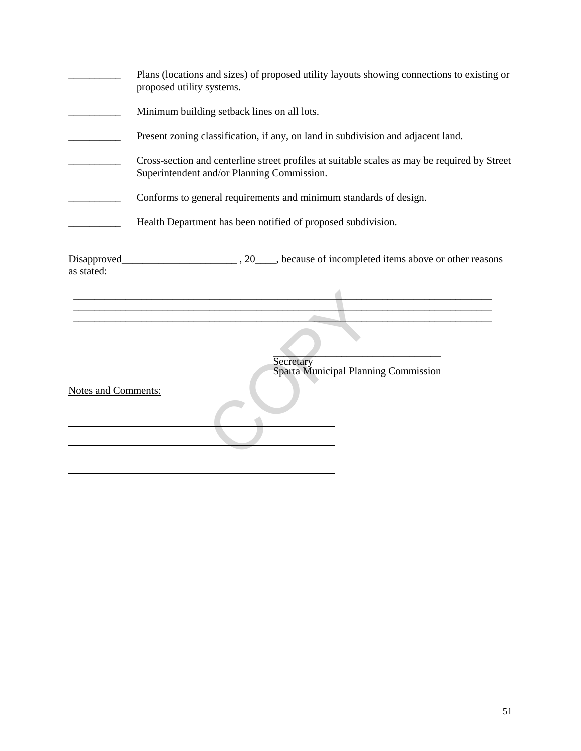|                            | Plans (locations and sizes) of proposed utility layouts showing connections to existing or<br>proposed utility systems.                    |  |  |  |  |
|----------------------------|--------------------------------------------------------------------------------------------------------------------------------------------|--|--|--|--|
|                            | Minimum building setback lines on all lots.                                                                                                |  |  |  |  |
|                            | Present zoning classification, if any, on land in subdivision and adjacent land.                                                           |  |  |  |  |
|                            | Cross-section and centerline street profiles at suitable scales as may be required by Street<br>Superintendent and/or Planning Commission. |  |  |  |  |
|                            | Conforms to general requirements and minimum standards of design.                                                                          |  |  |  |  |
|                            | Health Department has been notified of proposed subdivision.                                                                               |  |  |  |  |
| as stated:                 | <u> 1989 - Johann Barn, mars and de Branch Barn, mars and de Branch Barn, mars and de Branch Barn, mars and de Br</u>                      |  |  |  |  |
| <b>Notes and Comments:</b> | Secretary<br>Sparta Municipal Planning Commission                                                                                          |  |  |  |  |
|                            |                                                                                                                                            |  |  |  |  |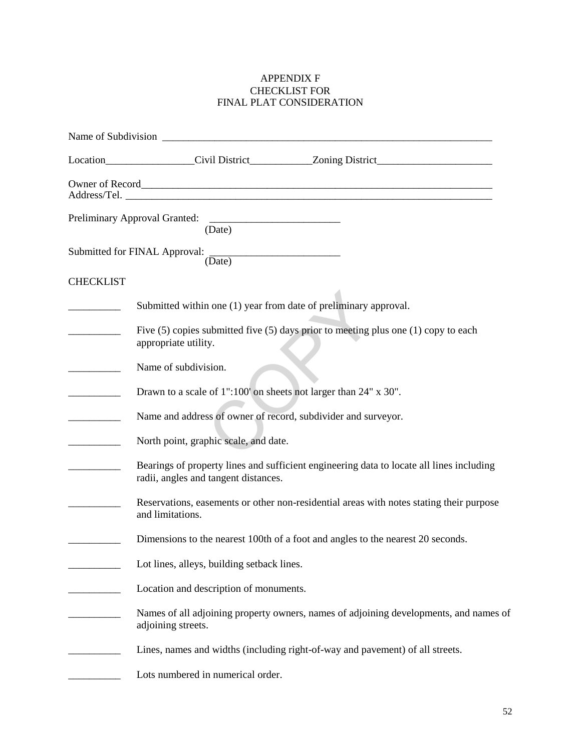## APPENDIX F CHECKLIST FOR FINAL PLAT CONSIDERATION

|                          | Location________________Civil District____________Zoning District________________                                                |  |
|--------------------------|----------------------------------------------------------------------------------------------------------------------------------|--|
|                          |                                                                                                                                  |  |
|                          | (Date)                                                                                                                           |  |
|                          | Submitted for FINAL Approval: (Date)                                                                                             |  |
| <b>CHECKLIST</b>         |                                                                                                                                  |  |
|                          | Submitted within one (1) year from date of preliminary approval.                                                                 |  |
| $\overline{\phantom{a}}$ | Five $(5)$ copies submitted five $(5)$ days prior to meeting plus one $(1)$ copy to each<br>appropriate utility.                 |  |
|                          | Name of subdivision.                                                                                                             |  |
|                          | Drawn to a scale of 1":100' on sheets not larger than 24" x 30".                                                                 |  |
|                          | Name and address of owner of record, subdivider and surveyor.                                                                    |  |
|                          | North point, graphic scale, and date.                                                                                            |  |
|                          | Bearings of property lines and sufficient engineering data to locate all lines including<br>radii, angles and tangent distances. |  |
|                          | Reservations, easements or other non-residential areas with notes stating their purpose<br>and limitations.                      |  |
|                          | Dimensions to the nearest 100th of a foot and angles to the nearest 20 seconds.                                                  |  |
|                          | Lot lines, alleys, building setback lines.                                                                                       |  |
|                          | Location and description of monuments.                                                                                           |  |
|                          | Names of all adjoining property owners, names of adjoining developments, and names of<br>adjoining streets.                      |  |
|                          | Lines, names and widths (including right-of-way and pavement) of all streets.                                                    |  |
|                          | Lots numbered in numerical order.                                                                                                |  |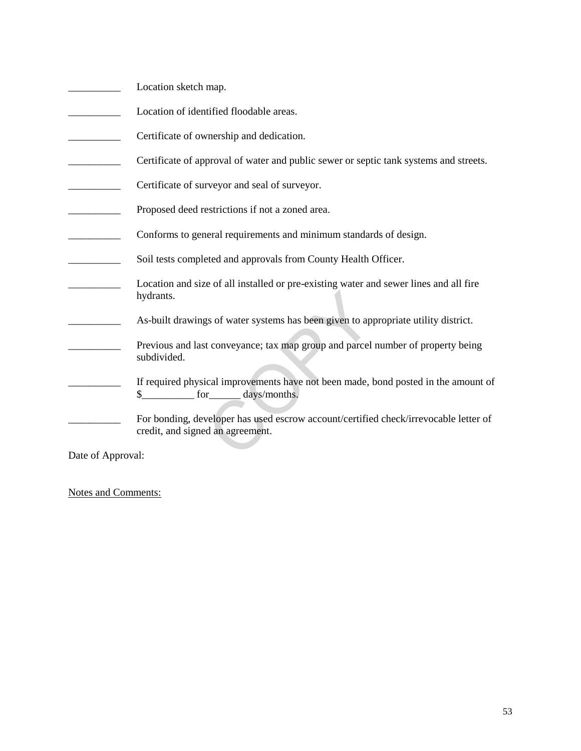- \_\_\_\_\_\_\_\_\_\_ Location sketch map.
- **Example 3** Location of identified floodable areas.
- **EXECUTE:** Certificate of ownership and dedication.
- **EXECUTE:** Certificate of approval of water and public sewer or septic tank systems and streets.
- **EXECUTE:** Certificate of surveyor and seal of surveyor.
- Proposed deed restrictions if not a zoned area.
- \_\_\_\_\_\_\_\_\_\_ Conforms to general requirements and minimum standards of design.
- **EXECUTE:** Soil tests completed and approvals from County Health Officer.
- \_\_\_\_\_\_\_\_\_\_ Location and size of all installed or pre-existing water and sewer lines and all fire hydrants.
- As-built drawings of water systems has been given to appropriate utility district.
- Previous and last conveyance; tax map group and parcel number of property being subdivided. COPY
- If required physical improvements have not been made, bond posted in the amount of \$\_\_\_\_\_\_\_\_\_\_ for\_\_\_\_\_\_ days/months.
- For bonding, developer has used escrow account/certified check/irrevocable letter of credit, and signed an agreement.

Date of Approval:

Notes and Comments: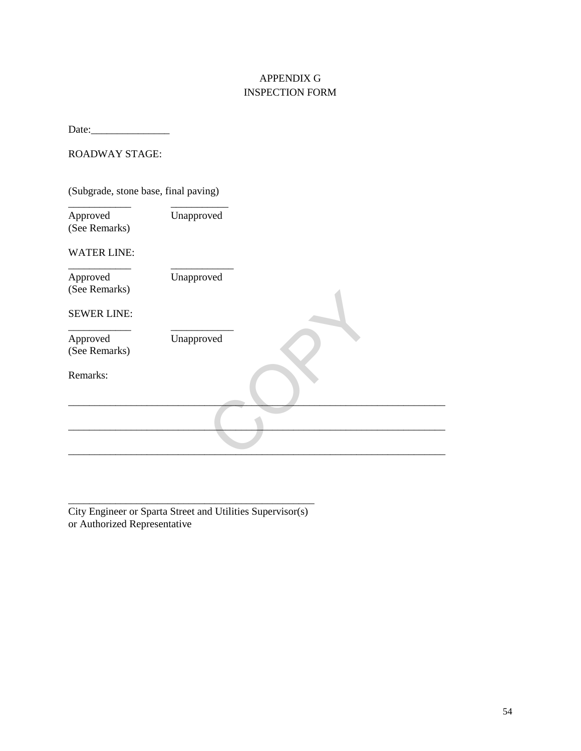## APPENDIX G INSPECTION FORM

Date:\_\_\_\_\_\_\_\_\_\_\_\_\_\_\_

## ROADWAY STAGE:

(Subgrade, stone base, final paving)

| Approved<br>(See Remarks) | Unapproved |  |
|---------------------------|------------|--|
| <b>WATER LINE:</b>        |            |  |
| Approved<br>(See Remarks) | Unapproved |  |
| <b>SEWER LINE:</b>        |            |  |
| Approved<br>(See Remarks) | Unapproved |  |
| Remarks:                  |            |  |
|                           |            |  |
|                           |            |  |

City Engineer or Sparta Street and Utilities Supervisor(s) or Authorized Representative

\_\_\_\_\_\_\_\_\_\_\_\_\_\_\_\_\_\_\_\_\_\_\_\_\_\_\_\_\_\_\_\_\_\_\_\_\_\_\_\_\_\_\_\_\_\_\_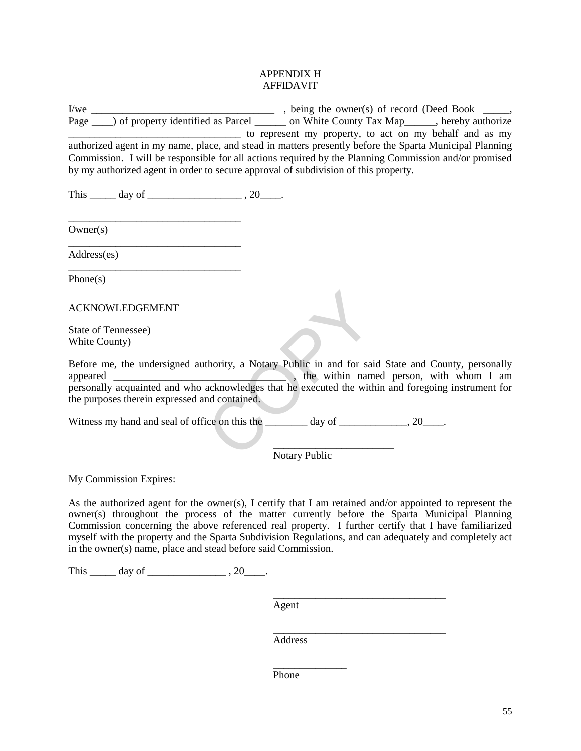#### APPENDIX H AFFIDAVIT

I/we \_\_\_\_\_\_\_\_\_\_\_\_\_\_\_\_\_\_\_\_\_\_\_\_\_\_\_\_\_\_\_\_\_\_\_ , being the owner(s) of record (Deed Book \_\_\_\_\_, Page \_\_\_\_) of property identified as Parcel \_\_\_\_\_\_\_ on White County Tax Map\_\_\_\_\_\_, hereby authorize \_\_\_\_\_\_\_\_\_\_\_\_\_\_\_\_\_\_\_\_\_\_\_\_\_\_\_\_\_\_\_\_\_ to represent my property, to act on my behalf and as my authorized agent in my name, place, and stead in matters presently before the Sparta Municipal Planning Commission. I will be responsible for all actions required by the Planning Commission and/or promised by my authorized agent in order to secure approval of subdivision of this property.

This  $\_\_\_\_\_\$  day of  $\_\_\_\_\_\_\$ , 20 $\_\_\_\_\$ .

\_\_\_\_\_\_\_\_\_\_\_\_\_\_\_\_\_\_\_\_\_\_\_\_\_\_\_\_\_\_\_\_\_

\_\_\_\_\_\_\_\_\_\_\_\_\_\_\_\_\_\_\_\_\_\_\_\_\_\_\_\_\_\_\_\_\_

\_\_\_\_\_\_\_\_\_\_\_\_\_\_\_\_\_\_\_\_\_\_\_\_\_\_\_\_\_\_\_\_\_

Owner(s)

Address(es)

Phone(s)

ACKNOWLEDGEMENT

State of Tennessee) White County)

Before me, the undersigned authority, a Notary Public in and for said State and County, personally<br>the within named person, with whom I am  $\overline{\phantom{a}}$ , the within named person, with whom I am personally acquainted and who acknowledges that he executed the within and foregoing instrument for the purposes therein expressed and contained. thority, a Notary Public in and for sainting the state of the state of the state of the state of the state of the state of the state of the state of the state of the state of the state of the state of the state of the stat

Witness my hand and seal of office on this the \_\_\_\_\_\_\_ day of \_\_\_\_\_\_\_\_\_\_, 20\_\_\_\_.

\_\_\_\_\_\_\_\_\_\_\_\_\_\_\_\_\_\_\_\_\_\_\_ Notary Public

My Commission Expires:

As the authorized agent for the owner(s), I certify that I am retained and/or appointed to represent the owner(s) throughout the process of the matter currently before the Sparta Municipal Planning Commission concerning the above referenced real property. I further certify that I have familiarized myself with the property and the Sparta Subdivision Regulations, and can adequately and completely act in the owner(s) name, place and stead before said Commission.

This  $\_\_\_\_$  day of  $\_\_\_\_\_\_\_$ , 20 $\_\_\_\_\_\.$ 

Agent

\_\_\_\_\_\_\_\_\_\_\_\_\_\_\_\_\_\_\_\_\_\_\_\_\_\_\_\_\_\_\_\_\_

 $\overline{\phantom{a}}$  , and the contract of the contract of the contract of the contract of the contract of the contract of the contract of the contract of the contract of the contract of the contract of the contract of the contrac Address

\_\_\_\_\_\_\_\_\_\_\_\_\_\_

Phone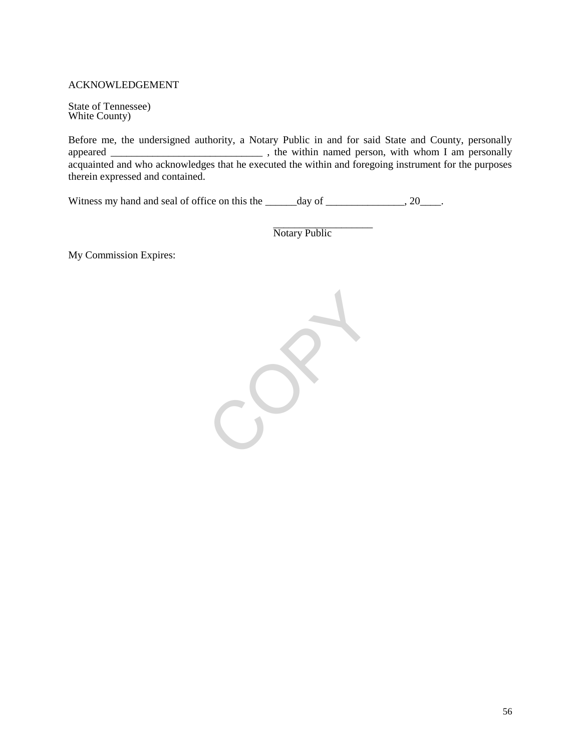## ACKNOWLEDGEMENT

State of Tennessee) White County)

Before me, the undersigned authority, a Notary Public in and for said State and County, personally appeared \_\_\_\_\_\_\_\_\_\_\_\_\_\_\_\_\_\_\_\_\_\_\_\_\_\_\_\_\_ , the within named person, with whom I am personally acquainted and who acknowledges that he executed the within and foregoing instrument for the purposes therein expressed and contained.

Witness my hand and seal of office on this the \_\_\_\_\_\_day of \_\_\_\_\_\_\_\_\_\_\_, 20\_\_\_\_.

\_\_\_\_\_\_\_\_\_\_\_\_\_\_\_\_\_\_\_ Notary Public

My Commission Expires:

COPY.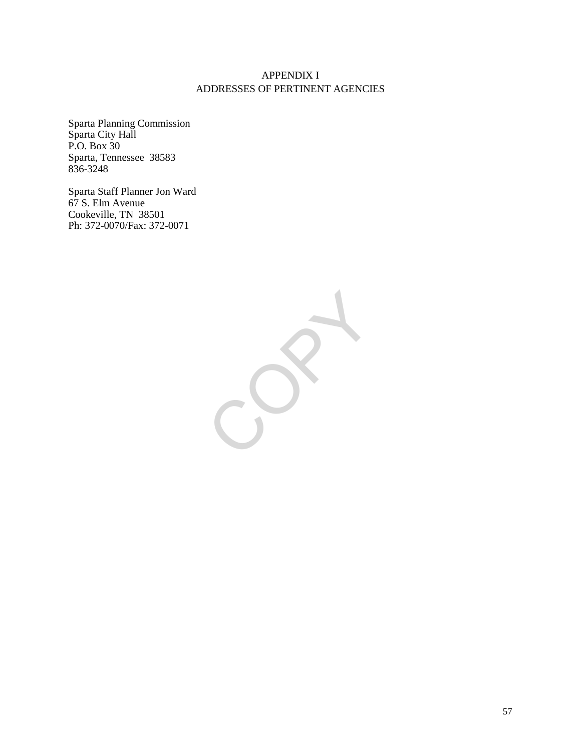## APPENDIX I ADDRESSES OF PERTINENT AGENCIES

Sparta Planning Commission Sparta City Hall P.O. Box 30 Sparta, Tennessee 38583 836-3248

Sparta Staff Planner Jon Ward 67 S. Elm Avenue Cookeville, TN 38501 Ph: 372-0070/Fax: 372-0071

 $\sum_{i=1}^{n}$